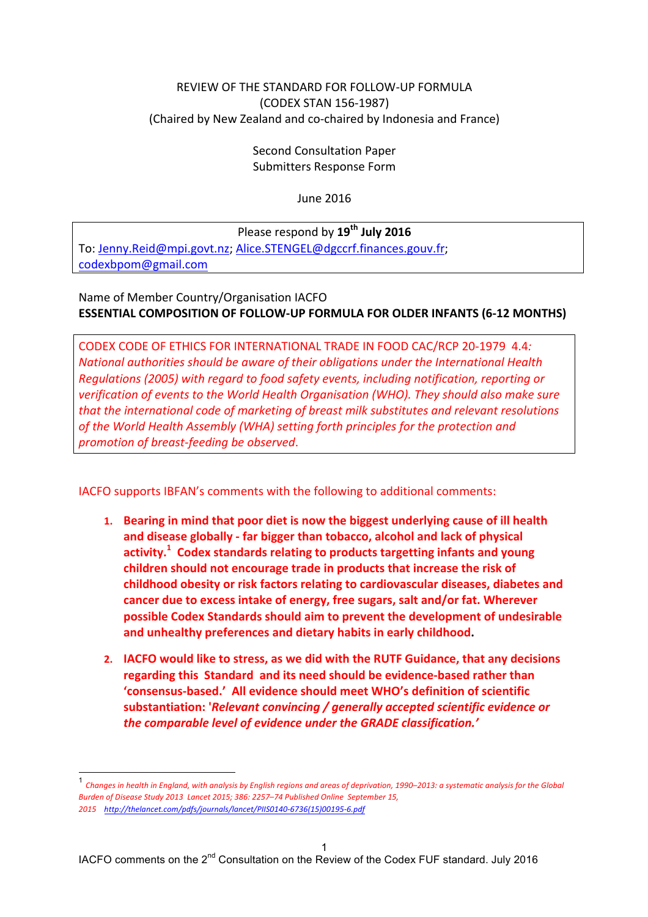#### <span id="page-0-0"></span>REVIEW OF THE STANDARD FOR FOLLOW-UP FORMULA (CODEX STAN 156-1987) (Chaired by New Zealand and co-chaired by Indonesia and France)

Second Consultation Paper Submitters Response Form

June 2016

Please respond by  $\overline{19}^{\text{th}}$  **July** 2016 To: Jenny.Reid@mpi.govt.nz; Alice.STENGEL@dgccrf.finances.gouv.fr; [codexbpom@gmail.com](mailto:codexbpom@gmail.com)

Name of Member Country/Organisation IACFO **ESSENTIAL COMPOSITION OF FOLLOW-UP FORMULA FOR OLDER INFANTS (6-12 MONTHS)** 

CODEX CODE OF ETHICS FOR INTERNATIONAL TRADE IN FOOD CAC/RCP 20-1979 4.4*: National authorities should be aware of their obligations under the International Health Regulations (2005) with regard to food safety events, including notification, reporting or verification of events to the World Health Organisation (WHO). They should also make sure that the international code of marketing of breast milk substitutes and relevant resolutions of the World Health Assembly (WHA) setting forth principles for the protection and promotion of breast-feeding be observed*.

IACFO supports IBFAN's comments with the following to additional comments:

- 1. Bearing in mind that poor diet is now the biggest underlying cause of ill health and disease globally - far bigger than tobacco, alcohol and lack of physical activity.<sup>1</sup> Codex standards relating to products targetting infants and young children should not encourage trade in products that increase the risk of childhood obesity or risk factors relating to cardiovascular diseases, diabetes and cancer due to excess intake of energy, free sugars, salt and/or fat. Wherever **possible Codex Standards should aim to prevent the development of undesirable** and unhealthy preferences and dietary habits in early childhood.
- 2. **IACFO** would like to stress, as we did with the RUTF Guidance, that any decisions **regarding this Standard and its need should be evidence-based rather than 'consensus-based.' All evidence should meet WHO's definition of scientific**  substantiation: '*Relevant convincing* / generally accepted scientific evidence or the comparable level of evidence under the GRADE classification.'

<sup>&</sup>lt;sup>1</sup> Changes in health in England, with analysis by English regions and areas of deprivation, 1990–2013: a systematic analysis for the Global *Burden of Disease Study 2013 Lancet 2015; 386: 2257–74 Published Online September 15, 2015 http://thelancet.com/pdfs/journals/lancet/PIIS0140-6736(15)00195-6.pdf*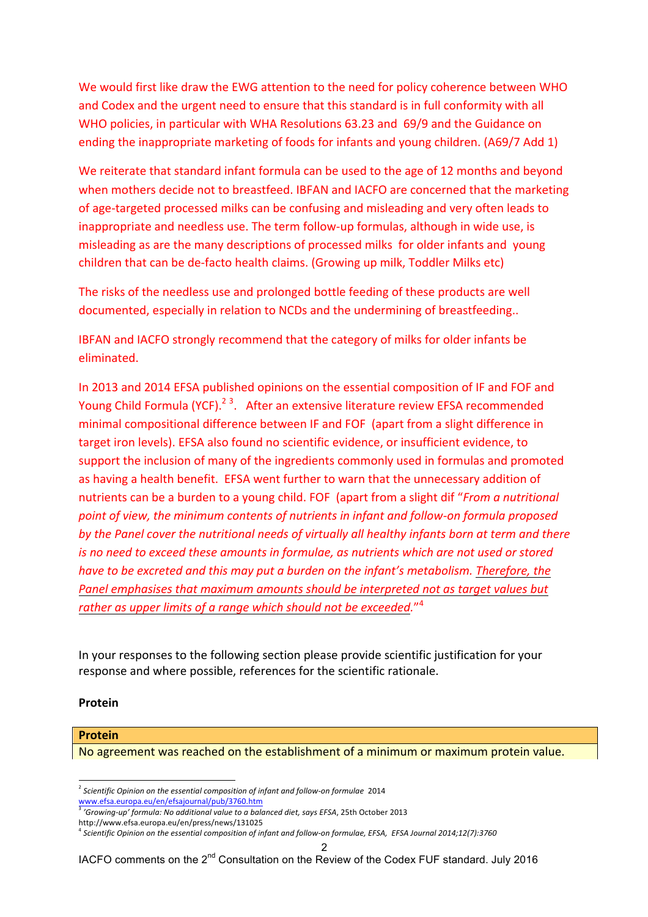We would first like draw the EWG attention to the need for policy coherence between WHO and Codex and the urgent need to ensure that this standard is in full conformity with all WHO policies, in particular with WHA Resolutions 63.23 and 69/9 and the Guidance on ending the inappropriate marketing of foods for infants and young children. (A69/7 Add 1)

We reiterate that standard infant formula can be used to the age of 12 months and beyond when mothers decide not to breastfeed. IBFAN and IACFO are concerned that the marketing of age-targeted processed milks can be confusing and misleading and very often leads to inappropriate and needless use. The term follow-up formulas, although in wide use, is misleading as are the many descriptions of processed milks for older infants and young children that can be de-facto health claims. (Growing up milk, Toddler Milks etc)

The risks of the needless use and prolonged bottle feeding of these products are well documented, especially in relation to NCDs and the undermining of breastfeeding..

IBFAN and IACFO strongly recommend that the category of milks for older infants be eliminated. 

In 2013 and 2014 EFSA published opinions on the essential composition of IF and FOF and Young Child Formula (YCF).<sup>23</sup>. After an extensive literature review EFSA recommended minimal compositional difference between IF and FOF (apart from a slight difference in target iron levels). EFSA also found no scientific evidence, or insufficient evidence, to support the inclusion of many of the ingredients commonly used in formulas and promoted as having a health benefit. EFSA went further to warn that the unnecessary addition of nutrients can be a burden to a young child. FOF (apart from a slight dif "*From a nutritional point of view, the minimum contents of nutrients in infant and follow-on formula proposed by the Panel cover the nutritional needs of virtually all healthy infants born at term and there is no need to exceed these amounts in formulae, as nutrients which are not used or stored have to be excreted and this may put a burden on the infant's metabolism. Therefore, the Panel emphasises that maximum amounts should be interpreted not as target values but rather as upper limits of a range which should not be exceeded.*" 4

In your responses to the following section please provide scientific justification for your response and where possible, references for the scientific rationale.

#### **Protein**

#### **Protein**

No agreement was reached on the establishment of a minimum or maximum protein value.

<sup>2</sup> *Scientific Opinion on the essential composition of infant and follow-on formulae*<sup>2014</sup> www.efsa.europa.eu/en/efsajournal/pub/3760.htm

<sup>3</sup> *'Growing-up' formula: No additional value to a balanced diet, says EFSA*, 25th October 2013

http://www.efsa.europa.eu/en/press/news/131025

<sup>4</sup> *Scientific Opinion on the essential composition of infant and follow-on formulae, EFSA, EFSA Journal 2014;12(7):3760*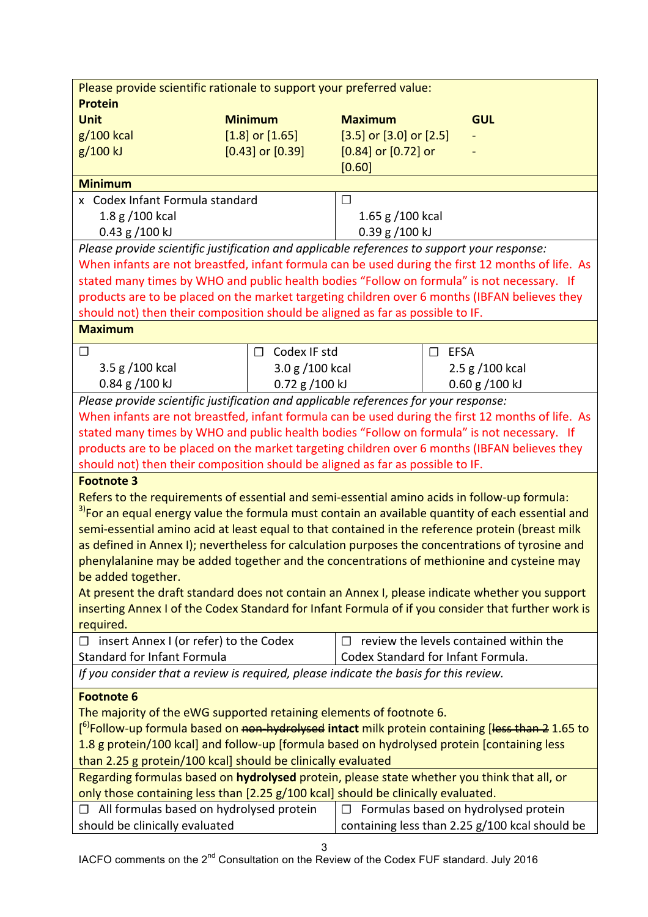| Please provide scientific rationale to support your preferred value:                                                                 |                        |                                    |                |                                                |
|--------------------------------------------------------------------------------------------------------------------------------------|------------------------|------------------------------------|----------------|------------------------------------------------|
| <b>Protein</b>                                                                                                                       |                        |                                    |                |                                                |
| <b>Unit</b>                                                                                                                          | <b>Minimum</b>         | <b>Maximum</b>                     |                | <b>GUL</b>                                     |
| g/100 kcal                                                                                                                           | $[1.8]$ or $[1.65]$    | $[3.5]$ or $[3.0]$ or $[2.5]$      |                |                                                |
| g/100 kJ                                                                                                                             | $[0.43]$ or $[0.39]$   | $[0.84]$ or $[0.72]$ or            |                |                                                |
|                                                                                                                                      |                        | [0.60]                             |                |                                                |
| <b>Minimum</b>                                                                                                                       |                        |                                    |                |                                                |
| x Codex Infant Formula standard                                                                                                      |                        | $\Box$                             |                |                                                |
| 1.8 g /100 kcal                                                                                                                      |                        | 1.65 g $/100$ kcal                 |                |                                                |
| $0.43$ g $/100$ kJ                                                                                                                   |                        | $0.39$ g $/100$ kJ                 |                |                                                |
| Please provide scientific justification and applicable references to support your response:                                          |                        |                                    |                |                                                |
| When infants are not breastfed, infant formula can be used during the first 12 months of life. As                                    |                        |                                    |                |                                                |
| stated many times by WHO and public health bodies "Follow on formula" is not necessary. If                                           |                        |                                    |                |                                                |
| products are to be placed on the market targeting children over 6 months (IBFAN believes they                                        |                        |                                    |                |                                                |
| should not) then their composition should be aligned as far as possible to IF.                                                       |                        |                                    |                |                                                |
| <b>Maximum</b>                                                                                                                       |                        |                                    |                |                                                |
|                                                                                                                                      |                        |                                    |                |                                                |
| $\Box$                                                                                                                               | Codex IF std<br>$\Box$ |                                    | $\square$ EFSA |                                                |
| 3.5 g /100 kcal                                                                                                                      | 3.0 g /100 kcal        |                                    |                | 2.5 g / 100 kcal                               |
| $0.84$ g $/100$ kJ                                                                                                                   | 0.72 g /100 kJ         |                                    |                | $0.60$ g $/100$ kJ                             |
| Please provide scientific justification and applicable references for your response:                                                 |                        |                                    |                |                                                |
| When infants are not breastfed, infant formula can be used during the first 12 months of life. As                                    |                        |                                    |                |                                                |
| stated many times by WHO and public health bodies "Follow on formula" is not necessary. If                                           |                        |                                    |                |                                                |
| products are to be placed on the market targeting children over 6 months (IBFAN believes they                                        |                        |                                    |                |                                                |
| should not) then their composition should be aligned as far as possible to IF.                                                       |                        |                                    |                |                                                |
| <b>Footnote 3</b>                                                                                                                    |                        |                                    |                |                                                |
| Refers to the requirements of essential and semi-essential amino acids in follow-up formula:                                         |                        |                                    |                |                                                |
| <sup>3)</sup> For an equal energy value the formula must contain an available quantity of each essential and                         |                        |                                    |                |                                                |
| semi-essential amino acid at least equal to that contained in the reference protein (breast milk                                     |                        |                                    |                |                                                |
| as defined in Annex I); nevertheless for calculation purposes the concentrations of tyrosine and                                     |                        |                                    |                |                                                |
| phenylalanine may be added together and the concentrations of methionine and cysteine may                                            |                        |                                    |                |                                                |
| be added together.                                                                                                                   |                        |                                    |                |                                                |
| At present the draft standard does not contain an Annex I, please indicate whether you support                                       |                        |                                    |                |                                                |
| inserting Annex I of the Codex Standard for Infant Formula of if you consider that further work is                                   |                        |                                    |                |                                                |
| required.                                                                                                                            |                        |                                    |                |                                                |
| $\Box$ insert Annex I (or refer) to the Codex                                                                                        |                        | П                                  |                | review the levels contained within the         |
| <b>Standard for Infant Formula</b>                                                                                                   |                        | Codex Standard for Infant Formula. |                |                                                |
|                                                                                                                                      |                        |                                    |                |                                                |
| If you consider that a review is required, please indicate the basis for this review.                                                |                        |                                    |                |                                                |
| <b>Footnote 6</b>                                                                                                                    |                        |                                    |                |                                                |
| The majority of the eWG supported retaining elements of footnote 6.                                                                  |                        |                                    |                |                                                |
| [ <sup>6)</sup> Follow-up formula based on <del>non-hydrolysed</del> intact milk protein containing [ <del>less than 2</del> 1.65 to |                        |                                    |                |                                                |
| 1.8 g protein/100 kcal] and follow-up [formula based on hydrolysed protein [containing less                                          |                        |                                    |                |                                                |
| than 2.25 g protein/100 kcal] should be clinically evaluated                                                                         |                        |                                    |                |                                                |
| Regarding formulas based on hydrolysed protein, please state whether you think that all, or                                          |                        |                                    |                |                                                |
| only those containing less than [2.25 g/100 kcal] should be clinically evaluated.                                                    |                        |                                    |                |                                                |
| $\Box$ All formulas based on hydrolysed protein                                                                                      |                        |                                    |                | $\Box$ Formulas based on hydrolysed protein    |
| should be clinically evaluated                                                                                                       |                        |                                    |                | containing less than 2.25 g/100 kcal should be |
|                                                                                                                                      |                        |                                    |                |                                                |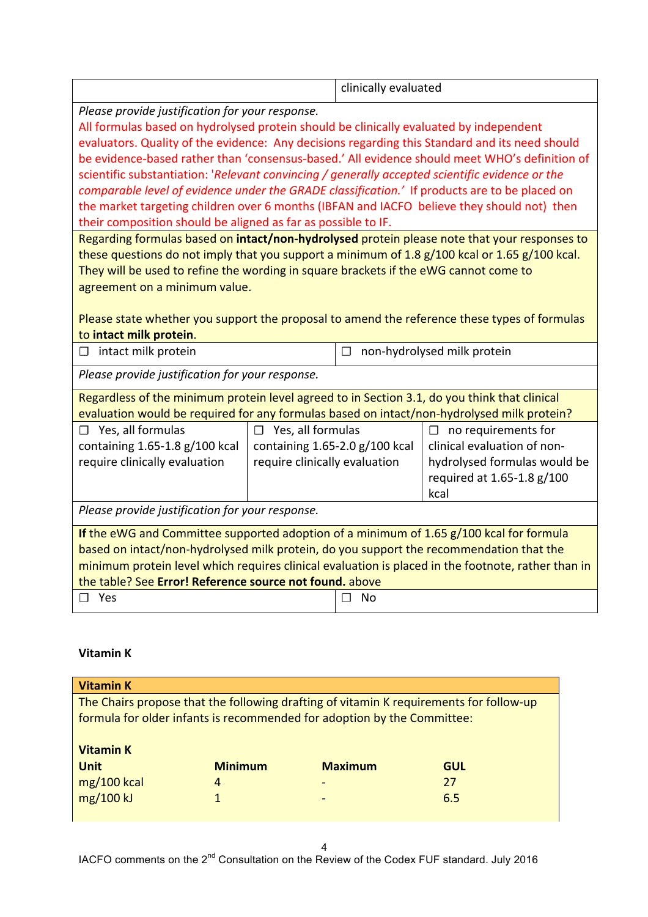|                                                                                                                                                                                                                                                                                                                                                                                                                                                                                                                                                                                                                                                                                                                                                                                                                                                                                                                                                                                                          |  | clinically evaluated |  |
|----------------------------------------------------------------------------------------------------------------------------------------------------------------------------------------------------------------------------------------------------------------------------------------------------------------------------------------------------------------------------------------------------------------------------------------------------------------------------------------------------------------------------------------------------------------------------------------------------------------------------------------------------------------------------------------------------------------------------------------------------------------------------------------------------------------------------------------------------------------------------------------------------------------------------------------------------------------------------------------------------------|--|----------------------|--|
| Please provide justification for your response.<br>All formulas based on hydrolysed protein should be clinically evaluated by independent<br>evaluators. Quality of the evidence: Any decisions regarding this Standard and its need should<br>be evidence-based rather than 'consensus-based.' All evidence should meet WHO's definition of<br>scientific substantiation: 'Relevant convincing / generally accepted scientific evidence or the<br>comparable level of evidence under the GRADE classification.' If products are to be placed on<br>the market targeting children over 6 months (IBFAN and IACFO believe they should not) then<br>their composition should be aligned as far as possible to IF.<br>Regarding formulas based on intact/non-hydrolysed protein please note that your responses to<br>these questions do not imply that you support a minimum of 1.8 g/100 kcal or 1.65 g/100 kcal.<br>They will be used to refine the wording in square brackets if the eWG cannot come to |  |                      |  |
| agreement on a minimum value.<br>Please state whether you support the proposal to amend the reference these types of formulas<br>to intact milk protein.<br>intact milk protein<br>non-hydrolysed milk protein<br>П<br>□                                                                                                                                                                                                                                                                                                                                                                                                                                                                                                                                                                                                                                                                                                                                                                                 |  |                      |  |
| Please provide justification for your response.                                                                                                                                                                                                                                                                                                                                                                                                                                                                                                                                                                                                                                                                                                                                                                                                                                                                                                                                                          |  |                      |  |
| Regardless of the minimum protein level agreed to in Section 3.1, do you think that clinical<br>evaluation would be required for any formulas based on intact/non-hydrolysed milk protein?<br>$\Box$ Yes, all formulas<br>$\Box$ Yes, all formulas<br>$\Box$ no requirements for<br>clinical evaluation of non-<br>containing $1.65-1.8$ g/100 kcal<br>containing $1.65-2.0$ g/100 kcal<br>require clinically evaluation<br>hydrolysed formulas would be<br>require clinically evaluation<br>required at 1.65-1.8 g/100<br>kcal                                                                                                                                                                                                                                                                                                                                                                                                                                                                          |  |                      |  |
| Please provide justification for your response.                                                                                                                                                                                                                                                                                                                                                                                                                                                                                                                                                                                                                                                                                                                                                                                                                                                                                                                                                          |  |                      |  |
| If the eWG and Committee supported adoption of a minimum of 1.65 g/100 kcal for formula<br>based on intact/non-hydrolysed milk protein, do you support the recommendation that the<br>minimum protein level which requires clinical evaluation is placed in the footnote, rather than in<br>the table? See Error! Reference source not found. above<br>$\square$ Yes<br><b>No</b><br>П                                                                                                                                                                                                                                                                                                                                                                                                                                                                                                                                                                                                                   |  |                      |  |

# **Vitamin K**

| <b>Vitamin K</b>                |                |                                                                         |                                                                                        |
|---------------------------------|----------------|-------------------------------------------------------------------------|----------------------------------------------------------------------------------------|
|                                 |                | formula for older infants is recommended for adoption by the Committee: | The Chairs propose that the following drafting of vitamin K requirements for follow-up |
| <b>Vitamin K</b><br><b>Unit</b> | <b>Minimum</b> | <b>Maximum</b>                                                          | <b>GUL</b>                                                                             |
| $mg/100$ kcal                   | 4              | $\overline{\phantom{0}}$                                                | 27                                                                                     |
| mg/100 kJ                       | 1              | $\overline{\phantom{0}}$                                                | 6.5                                                                                    |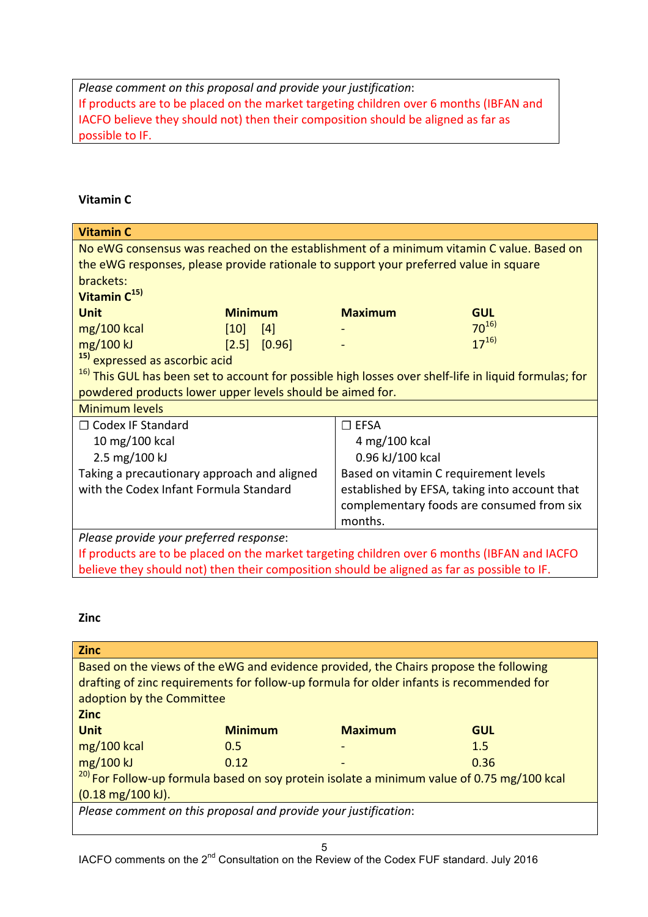*Please comment on this proposal and provide your justification:* If products are to be placed on the market targeting children over 6 months (IBFAN and IACFO believe they should not) then their composition should be aligned as far as possible to IF.

## **Vitamin C**

| <b>Vitamin C</b>                                                                                                 |                  |                  |                                       |                                                                                          |
|------------------------------------------------------------------------------------------------------------------|------------------|------------------|---------------------------------------|------------------------------------------------------------------------------------------|
|                                                                                                                  |                  |                  |                                       | No eWG consensus was reached on the establishment of a minimum vitamin C value. Based on |
| the eWG responses, please provide rationale to support your preferred value in square                            |                  |                  |                                       |                                                                                          |
| brackets:                                                                                                        |                  |                  |                                       |                                                                                          |
| Vitamin C <sup>15)</sup>                                                                                         |                  |                  |                                       |                                                                                          |
| <b>Unit</b>                                                                                                      | <b>Minimum</b>   |                  | <b>Maximum</b>                        | <b>GUL</b>                                                                               |
| $mg/100$ kcal                                                                                                    | $\vert 10 \vert$ | [4]              |                                       | $70^{16}$                                                                                |
| mg/100 kJ                                                                                                        |                  | $[2.5]$ $[0.96]$ |                                       | $17^{16}$                                                                                |
| <sup>15)</sup> expressed as ascorbic acid                                                                        |                  |                  |                                       |                                                                                          |
| <sup>16)</sup> This GUL has been set to account for possible high losses over shelf-life in liquid formulas; for |                  |                  |                                       |                                                                                          |
| powdered products lower upper levels should be aimed for.                                                        |                  |                  |                                       |                                                                                          |
| <b>Minimum levels</b>                                                                                            |                  |                  |                                       |                                                                                          |
| $\Box$ Codex IF Standard                                                                                         |                  |                  | $\square$ EFSA                        |                                                                                          |
| 10 mg/100 kcal                                                                                                   |                  |                  | 4 mg/100 kcal                         |                                                                                          |
| 2.5 mg/100 kJ                                                                                                    |                  | 0.96 kJ/100 kcal |                                       |                                                                                          |
| Taking a precautionary approach and aligned                                                                      |                  |                  | Based on vitamin C requirement levels |                                                                                          |
| with the Codex Infant Formula Standard                                                                           |                  |                  |                                       | established by EFSA, taking into account that                                            |
|                                                                                                                  |                  |                  |                                       | complementary foods are consumed from six                                                |
|                                                                                                                  |                  |                  | months.                               |                                                                                          |
| Please provide your preferred response:                                                                          |                  |                  |                                       |                                                                                          |
| If products are to be placed on the market targeting children over 6 months (IBFAN and IACFO                     |                  |                  |                                       |                                                                                          |
| believe they should not) then their composition should be aligned as far as possible to IF.                      |                  |                  |                                       |                                                                                          |

#### **Zinc**

| <b>Zinc</b>                                                                                           |                |                |            |  |
|-------------------------------------------------------------------------------------------------------|----------------|----------------|------------|--|
| Based on the views of the eWG and evidence provided, the Chairs propose the following                 |                |                |            |  |
| drafting of zinc requirements for follow-up formula for older infants is recommended for              |                |                |            |  |
| adoption by the Committee                                                                             |                |                |            |  |
| <b>Zinc</b>                                                                                           |                |                |            |  |
| <b>Unit</b>                                                                                           | <b>Minimum</b> | <b>Maximum</b> | <b>GUL</b> |  |
| $mg/100$ kcal                                                                                         | 0.5            |                | 1.5        |  |
| mg/100 kJ                                                                                             | 0.12           |                | 0.36       |  |
| <sup>20)</sup> For Follow-up formula based on soy protein isolate a minimum value of 0.75 mg/100 kcal |                |                |            |  |
| $(0.18 \text{ mg}/100 \text{ kJ}).$                                                                   |                |                |            |  |
| Please comment on this proposal and provide your justification:                                       |                |                |            |  |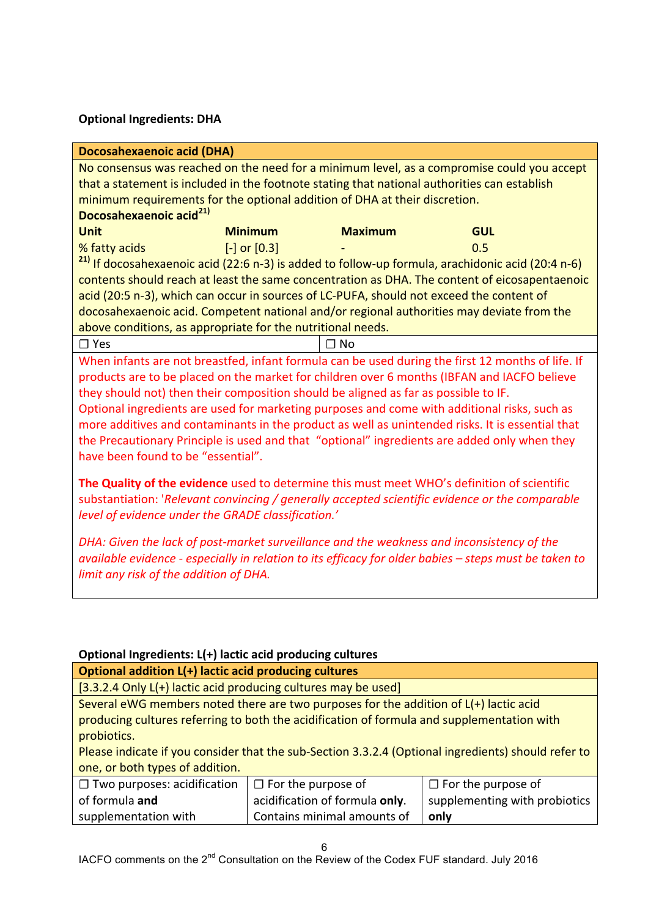### **Optional Ingredients: DHA**

| <b>Docosahexaenoic acid (DHA)</b>                                                                     |                                                                                              |                |                                                                                                              |  |  |
|-------------------------------------------------------------------------------------------------------|----------------------------------------------------------------------------------------------|----------------|--------------------------------------------------------------------------------------------------------------|--|--|
|                                                                                                       |                                                                                              |                | No consensus was reached on the need for a minimum level, as a compromise could you accept                   |  |  |
|                                                                                                       |                                                                                              |                | that a statement is included in the footnote stating that national authorities can establish                 |  |  |
| minimum requirements for the optional addition of DHA at their discretion.                            |                                                                                              |                |                                                                                                              |  |  |
| Docosahexaenoic acid <sup>21)</sup>                                                                   |                                                                                              |                |                                                                                                              |  |  |
| <b>Unit</b>                                                                                           | <b>Minimum</b>                                                                               | <b>Maximum</b> | <b>GUL</b>                                                                                                   |  |  |
| % fatty acids                                                                                         | $[-]$ or $[0.3]$                                                                             |                | 0.5                                                                                                          |  |  |
|                                                                                                       |                                                                                              |                | <sup>21)</sup> If docosahexaenoic acid (22:6 n-3) is added to follow-up formula, arachidonic acid (20:4 n-6) |  |  |
|                                                                                                       |                                                                                              |                | contents should reach at least the same concentration as DHA. The content of eicosapentaenoic                |  |  |
| acid (20:5 n-3), which can occur in sources of LC-PUFA, should not exceed the content of              |                                                                                              |                |                                                                                                              |  |  |
|                                                                                                       |                                                                                              |                | docosahexaenoic acid. Competent national and/or regional authorities may deviate from the                    |  |  |
| above conditions, as appropriate for the nutritional needs.                                           |                                                                                              |                |                                                                                                              |  |  |
| $\Box$ Yes                                                                                            |                                                                                              | ∩ No           |                                                                                                              |  |  |
|                                                                                                       |                                                                                              |                | When infants are not breastfed, infant formula can be used during the first 12 months of life. If            |  |  |
| products are to be placed on the market for children over 6 months (IBFAN and IACFO believe           |                                                                                              |                |                                                                                                              |  |  |
| they should not) then their composition should be aligned as far as possible to IF.                   |                                                                                              |                |                                                                                                              |  |  |
|                                                                                                       | Optional ingredients are used for marketing purposes and come with additional risks, such as |                |                                                                                                              |  |  |
| more additives and contaminants in the product as well as unintended risks. It is essential that      |                                                                                              |                |                                                                                                              |  |  |
|                                                                                                       |                                                                                              |                | the Precautionary Principle is used and that "optional" ingredients are added only when they                 |  |  |
| have been found to be "essential".                                                                    |                                                                                              |                |                                                                                                              |  |  |
|                                                                                                       |                                                                                              |                |                                                                                                              |  |  |
| The Quality of the evidence used to determine this must meet WHO's definition of scientific           |                                                                                              |                |                                                                                                              |  |  |
| substantiation: 'Relevant convincing / generally accepted scientific evidence or the comparable       |                                                                                              |                |                                                                                                              |  |  |
| level of evidence under the GRADE classification.'                                                    |                                                                                              |                |                                                                                                              |  |  |
| DHA: Given the lack of post-market surveillance and the weakness and inconsistency of the             |                                                                                              |                |                                                                                                              |  |  |
| available evidence - especially in relation to its efficacy for older babies - steps must be taken to |                                                                                              |                |                                                                                                              |  |  |
| limit any risk of the addition of DHA.                                                                |                                                                                              |                |                                                                                                              |  |  |

#### **Optional Ingredients: L(+) lactic acid producing cultures**

## **Optional addition L(+) lactic acid producing cultures**

 $[3.3.2.4$  Only L(+) lactic acid producing cultures may be used]

Several eWG members noted there are two purposes for the addition of  $L(+)$  lactic acid producing cultures referring to both the acidification of formula and supplementation with probiotics. 

Please indicate if you consider that the sub-Section 3.3.2.4 (Optional ingredients) should refer to one, or both types of addition.

| $\Box$ Two purposes: acidification | $\Box$ For the purpose of      | $\Box$ For the purpose of     |
|------------------------------------|--------------------------------|-------------------------------|
| of formula and                     | acidification of formula only. | supplementing with probiotics |
| supplementation with               | Contains minimal amounts of    | only                          |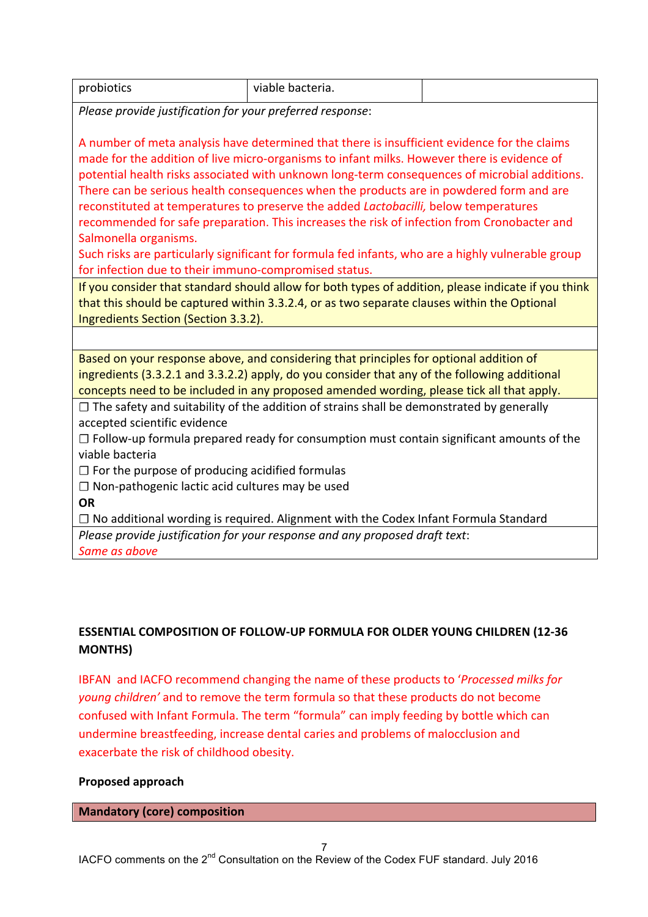| probiotics<br>viable bacteria. |
|--------------------------------|
|--------------------------------|

*Please provide justification for your preferred response:* 

A number of meta analysis have determined that there is insufficient evidence for the claims made for the addition of live micro-organisms to infant milks. However there is evidence of potential health risks associated with unknown long-term consequences of microbial additions. There can be serious health consequences when the products are in powdered form and are reconstituted at temperatures to preserve the added *Lactobacilli*, below temperatures recommended for safe preparation. This increases the risk of infection from Cronobacter and Salmonella organisms.

Such risks are particularly significant for formula fed infants, who are a highly vulnerable group for infection due to their immuno-compromised status.

If you consider that standard should allow for both types of addition, please indicate if you think that this should be captured within 3.3.2.4, or as two separate clauses within the Optional Ingredients Section (Section 3.3.2).

Based on your response above, and considering that principles for optional addition of ingredients (3.3.2.1 and 3.3.2.2) apply, do you consider that any of the following additional concepts need to be included in any proposed amended wording, please tick all that apply.

 $\Box$  The safety and suitability of the addition of strains shall be demonstrated by generally accepted scientific evidence

□ Follow-up formula prepared ready for consumption must contain significant amounts of the viable bacteria

 $\Box$  For the purpose of producing acidified formulas

□ Non-pathogenic lactic acid cultures may be used

**OR**

**□** No additional wording is required. Alignment with the Codex Infant Formula Standard *Please provide justification for your response and any proposed draft text:* 

Same as above

## **ESSENTIAL COMPOSITION OF FOLLOW-UP FORMULA FOR OLDER YOUNG CHILDREN (12-36 MONTHS)**

IBFAN and IACFO recommend changing the name of these products to '*Processed milks for young children'* and to remove the term formula so that these products do not become confused with Infant Formula. The term "formula" can imply feeding by bottle which can undermine breastfeeding, increase dental caries and problems of malocclusion and exacerbate the risk of childhood obesity.

#### **Proposed approach**

#### **Mandatory (core) composition**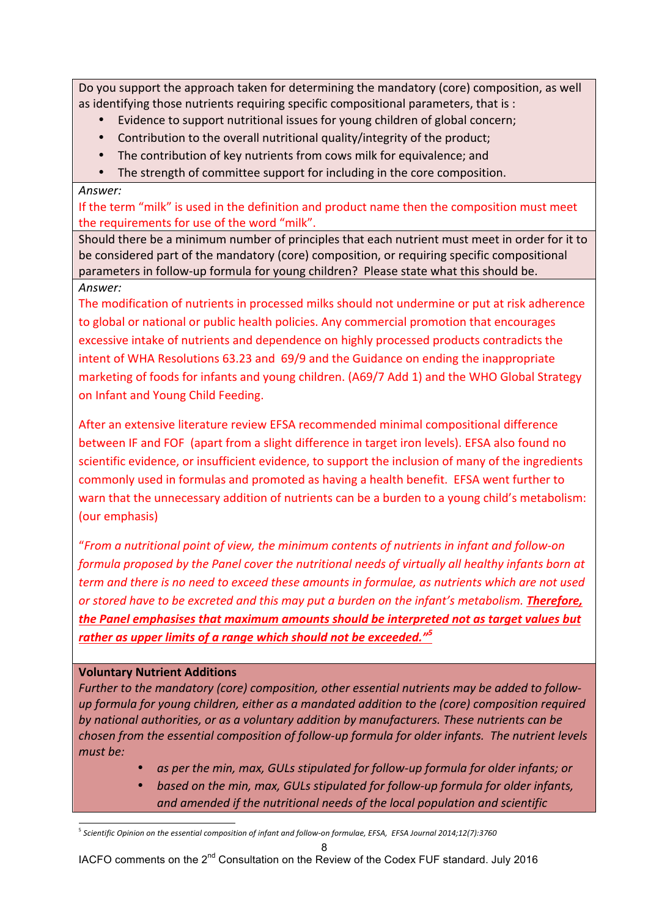Do you support the approach taken for determining the mandatory (core) composition, as well as identifying those nutrients requiring specific compositional parameters, that is :

- Evidence to support nutritional issues for young children of global concern;
- Contribution to the overall nutritional quality/integrity of the product;
- The contribution of key nutrients from cows milk for equivalence; and
- The strength of committee support for including in the core composition.

#### *Answer:*

If the term "milk" is used in the definition and product name then the composition must meet the requirements for use of the word "milk".

Should there be a minimum number of principles that each nutrient must meet in order for it to be considered part of the mandatory (core) composition, or requiring specific compositional parameters in follow-up formula for young children? Please state what this should be. *Answer:*

The modification of nutrients in processed milks should not undermine or put at risk adherence to global or national or public health policies. Any commercial promotion that encourages excessive intake of nutrients and dependence on highly processed products contradicts the intent of WHA Resolutions 63.23 and 69/9 and the Guidance on ending the inappropriate marketing of foods for infants and young children. (A69/7 Add 1) and the WHO Global Strategy on Infant and Young Child Feeding.

After an extensive literature review EFSA recommended minimal compositional difference between IF and FOF (apart from a slight difference in target iron levels). EFSA also found no scientific evidence, or insufficient evidence, to support the inclusion of many of the ingredients commonly used in formulas and promoted as having a health benefit. EFSA went further to warn that the unnecessary addition of nutrients can be a burden to a young child's metabolism: (our emphasis)

"From a nutritional point of view, the minimum contents of nutrients in infant and follow-on *formula proposed by the Panel cover the nutritional needs of virtually all healthy infants born at term* and there is no need to exceed these amounts in formulae, as nutrients which are not used *or stored have to be excreted and this may put a burden on the infant's metabolism.* **Therefore,** the Panel emphasises that maximum amounts should be interpreted not as target values but rather as upper limits of a range which should not be exceeded."<sup>5</sup>

### **Voluntary Nutrient Additions**

Further to the mandatory (core) composition, other essential nutrients may be added to followup formula for young children, either as a mandated addition to the (core) composition required by national authorities, or as a voluntary addition by manufacturers. These nutrients can be *chosen from the essential composition of follow-up formula for older infants. The nutrient levels must be:*

- as per the min, max, GULs stipulated for follow-up formula for older infants; or
- based on the min, max, GULs stipulated for follow-up formula for older infants, and amended if the nutritional needs of the local population and scientific

l <sup>5</sup> *Scientific Opinion on the essential composition of infant and follow-on formulae, EFSA, EFSA Journal 2014;12(7):3760*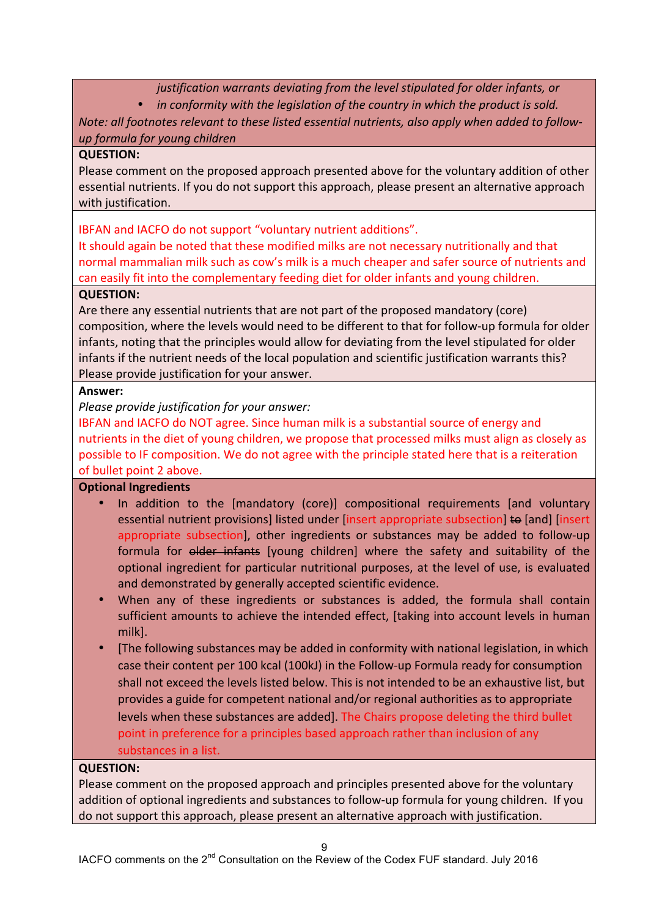*justification* warrants deviating from the level stipulated for older infants, or

• *in conformity with the legislation of the country in which the product is sold.* 

*Note: all footnotes relevant to these listed essential nutrients, also apply when added to followup formula for young children*

## **QUESTION:**

Please comment on the proposed approach presented above for the voluntary addition of other essential nutrients. If you do not support this approach, please present an alternative approach with justification.

IBFAN and IACFO do not support "voluntary nutrient additions".

It should again be noted that these modified milks are not necessary nutritionally and that normal mammalian milk such as cow's milk is a much cheaper and safer source of nutrients and can easily fit into the complementary feeding diet for older infants and young children.

## **QUESTION:**

Are there any essential nutrients that are not part of the proposed mandatory (core) composition, where the levels would need to be different to that for follow-up formula for older infants, noting that the principles would allow for deviating from the level stipulated for older infants if the nutrient needs of the local population and scientific justification warrants this? Please provide justification for your answer.

## **Answer:**

*Please provide justification for your answer:* 

IBFAN and IACFO do NOT agree. Since human milk is a substantial source of energy and nutrients in the diet of young children, we propose that processed milks must align as closely as possible to IF composition. We do not agree with the principle stated here that is a reiteration of bullet point 2 above.

## **Optional Ingredients**

- In addition to the [mandatory (core)] compositional requirements [and voluntary essential nutrient provisions] listed under linsert appropriate subsection] to [and] [insert appropriate subsection], other ingredients or substances may be added to follow-up formula for older infants [young children] where the safety and suitability of the optional ingredient for particular nutritional purposes, at the level of use, is evaluated and demonstrated by generally accepted scientific evidence.
- When any of these ingredients or substances is added, the formula shall contain sufficient amounts to achieve the intended effect, [taking into account levels in human milk].
- [The following substances may be added in conformity with national legislation, in which case their content per 100 kcal (100kJ) in the Follow-up Formula ready for consumption shall not exceed the levels listed below. This is not intended to be an exhaustive list, but provides a guide for competent national and/or regional authorities as to appropriate levels when these substances are added]. The Chairs propose deleting the third bullet point in preference for a principles based approach rather than inclusion of any substances in a list.

### **QUESTION:**

Please comment on the proposed approach and principles presented above for the voluntary addition of optional ingredients and substances to follow-up formula for young children. If you do not support this approach, please present an alternative approach with justification.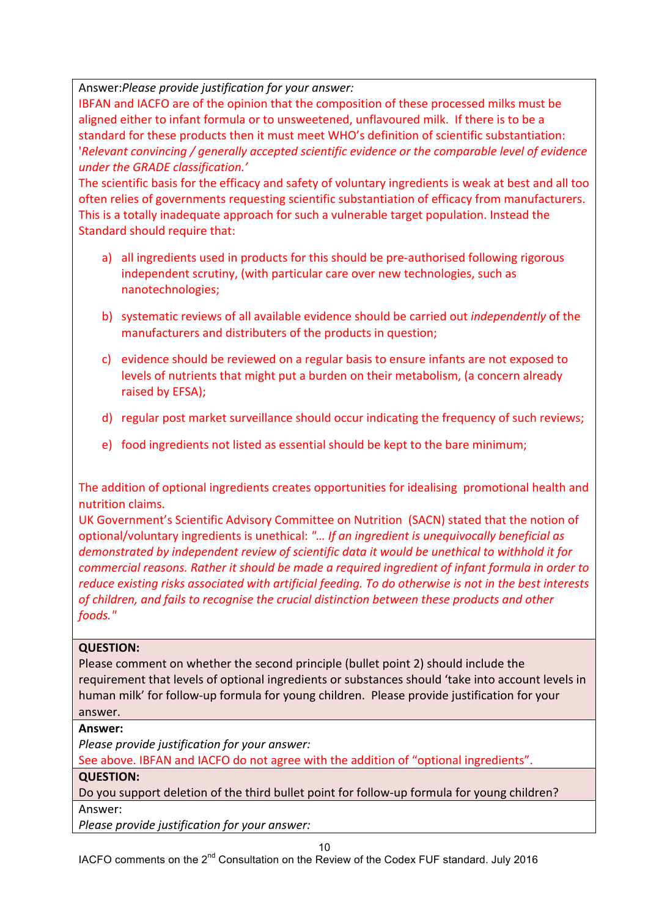Answer:Please provide justification for your answer:

IBFAN and IACFO are of the opinion that the composition of these processed milks must be aligned either to infant formula or to unsweetened, unflavoured milk. If there is to be a standard for these products then it must meet WHO's definition of scientific substantiation: '*Relevant convincing* / generally accepted scientific evidence or the comparable level of evidence *under the GRADE classification.'* 

The scientific basis for the efficacy and safety of voluntary ingredients is weak at best and all too often relies of governments requesting scientific substantiation of efficacy from manufacturers. This is a totally inadequate approach for such a vulnerable target population. Instead the Standard should require that:

- a) all ingredients used in products for this should be pre-authorised following rigorous independent scrutiny, (with particular care over new technologies, such as nanotechnologies;
- b) systematic reviews of all available evidence should be carried out *independently* of the manufacturers and distributers of the products in question;
- c) evidence should be reviewed on a regular basis to ensure infants are not exposed to levels of nutrients that might put a burden on their metabolism, (a concern already raised by EFSA);
- d) regular post market surveillance should occur indicating the frequency of such reviews;
- e) food ingredients not listed as essential should be kept to the bare minimum;

The addition of optional ingredients creates opportunities for idealising promotional health and nutrition claims. 

UK Government's Scientific Advisory Committee on Nutrition (SACN) stated that the notion of optional/voluntary ingredients is unethical: "... If an ingredient is unequivocally beneficial as demonstrated by independent review of scientific data it would be unethical to withhold it for *commercial reasons. Rather it should be made a required ingredient of infant formula in order to reduce existing risks associated with artificial feeding. To do otherwise is not in the best interests* of children, and fails to recognise the crucial distinction between these products and other *foods."*

## **QUESTION:**

Please comment on whether the second principle (bullet point 2) should include the requirement that levels of optional ingredients or substances should 'take into account levels in human milk' for follow-up formula for young children. Please provide justification for your answer.

## **Answer:**

*Please provide justification for your answer:* 

See above. IBFAN and IACFO do not agree with the addition of "optional ingredients".

## **QUESTION:**

Do you support deletion of the third bullet point for follow-up formula for young children? Answer:

*Please provide justification for your answer:*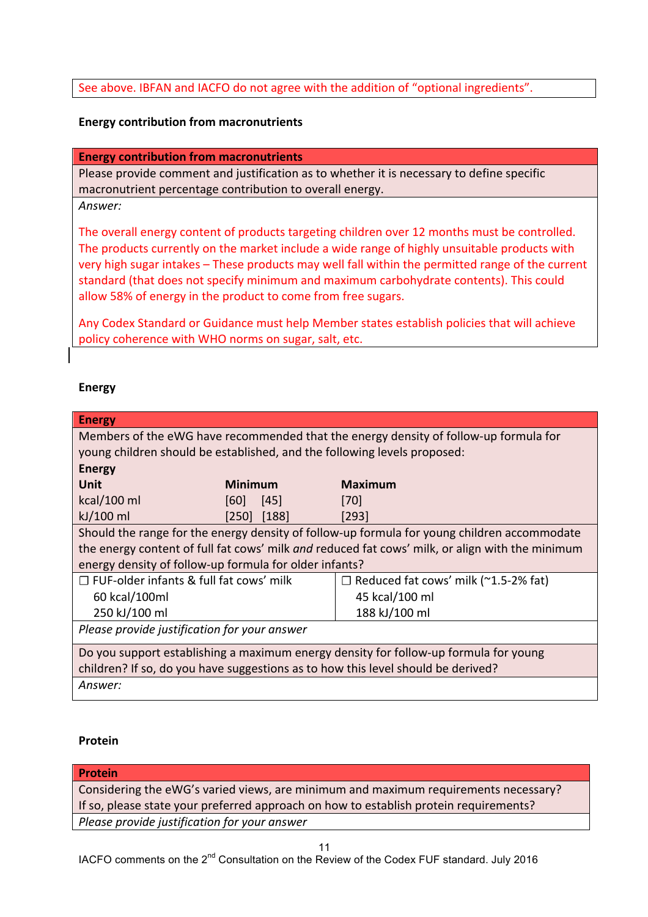### See above. IBFAN and IACFO do not agree with the addition of "optional ingredients".

#### **Energy contribution from macronutrients**

#### **Energy contribution from macronutrients**

Please provide comment and justification as to whether it is necessary to define specific macronutrient percentage contribution to overall energy.

#### *Answer:*

The overall energy content of products targeting children over 12 months must be controlled. The products currently on the market include a wide range of highly unsuitable products with very high sugar intakes – These products may well fall within the permitted range of the current standard (that does not specify minimum and maximum carbohydrate contents). This could allow 58% of energy in the product to come from free sugars.

Any Codex Standard or Guidance must help Member states establish policies that will achieve policy coherence with WHO norms on sugar, salt, etc.

#### **Energy**

| <b>Energy</b>                                                                               |                 |                                                                                                 |  |
|---------------------------------------------------------------------------------------------|-----------------|-------------------------------------------------------------------------------------------------|--|
| Members of the eWG have recommended that the energy density of follow-up formula for        |                 |                                                                                                 |  |
| young children should be established, and the following levels proposed:                    |                 |                                                                                                 |  |
| <b>Energy</b>                                                                               |                 |                                                                                                 |  |
| Unit                                                                                        | <b>Minimum</b>  | <b>Maximum</b>                                                                                  |  |
| $kcal/100$ ml                                                                               | 45 <br> 60      | <b>1701</b>                                                                                     |  |
| kJ/100 ml                                                                                   | $[250]$ $[188]$ | $[293]$                                                                                         |  |
| Should the range for the energy density of follow-up formula for young children accommodate |                 |                                                                                                 |  |
|                                                                                             |                 | the energy content of full fat cows' milk and reduced fat cows' milk, or align with the minimum |  |
| energy density of follow-up formula for older infants?                                      |                 |                                                                                                 |  |
| $\Box$ FUF-older infants & full fat cows' milk                                              |                 | $\Box$ Reduced fat cows' milk (~1.5-2% fat)                                                     |  |
| 60 kcal/100ml                                                                               |                 | 45 kcal/100 ml                                                                                  |  |
| 250 kJ/100 ml                                                                               |                 | 188 kJ/100 ml                                                                                   |  |
| Please provide justification for your answer                                                |                 |                                                                                                 |  |
| Do you support establishing a maximum energy density for follow-up formula for young        |                 |                                                                                                 |  |
| children? If so, do you have suggestions as to how this level should be derived?            |                 |                                                                                                 |  |
| Answer:                                                                                     |                 |                                                                                                 |  |

#### **Protein**

#### **Protein**

Considering the eWG's varied views, are minimum and maximum requirements necessary? If so, please state your preferred approach on how to establish protein requirements? *Please provide justification for your answer*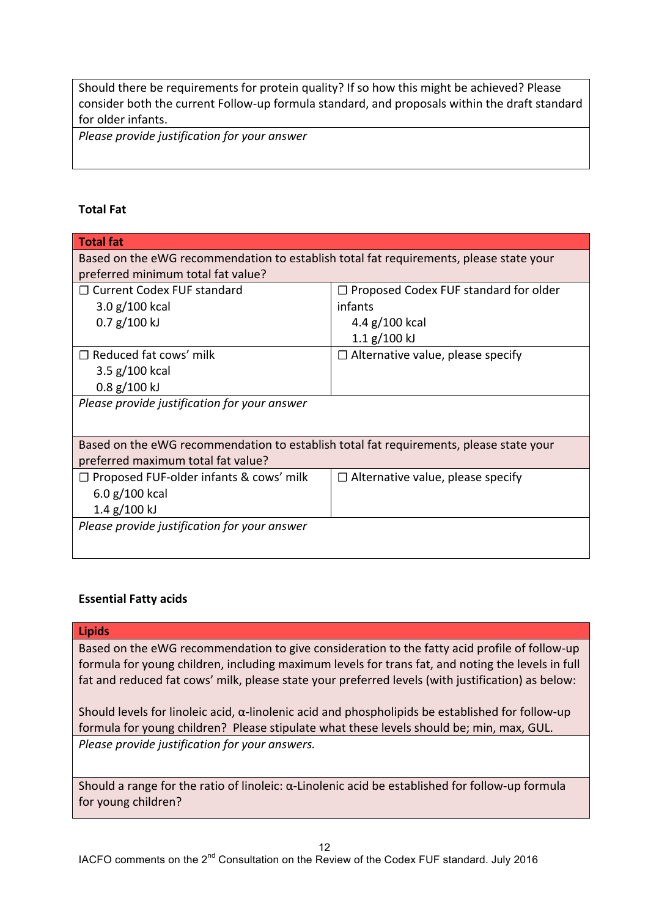Should there be requirements for protein quality? If so how this might be achieved? Please consider both the current Follow-up formula standard, and proposals within the draft standard for older infants.

*Please provide justification for your answer*

#### **Total Fat**

| <b>Total fat</b>                                                                       |                                              |  |  |  |
|----------------------------------------------------------------------------------------|----------------------------------------------|--|--|--|
| Based on the eWG recommendation to establish total fat requirements, please state your |                                              |  |  |  |
| preferred minimum total fat value?                                                     |                                              |  |  |  |
| $\Box$ Current Codex FUF standard                                                      | $\Box$ Proposed Codex FUF standard for older |  |  |  |
| 3.0 g/100 kcal                                                                         | infants                                      |  |  |  |
| $0.7$ g/100 kJ                                                                         | 4.4 $g/100$ kcal                             |  |  |  |
|                                                                                        | $1.1$ g/100 kJ                               |  |  |  |
| $\Box$ Reduced fat cows' milk                                                          | $\Box$ Alternative value, please specify     |  |  |  |
| $3.5$ g/100 kcal                                                                       |                                              |  |  |  |
| $0.8$ g/100 kJ                                                                         |                                              |  |  |  |
| Please provide justification for your answer                                           |                                              |  |  |  |
|                                                                                        |                                              |  |  |  |
| Based on the eWG recommendation to establish total fat requirements, please state your |                                              |  |  |  |
| preferred maximum total fat value?                                                     |                                              |  |  |  |
| $\Box$ Proposed FUF-older infants & cows' milk                                         | $\Box$ Alternative value, please specify     |  |  |  |
| 6.0 g/100 kcal                                                                         |                                              |  |  |  |
| $1.4$ g/ $100$ kJ                                                                      |                                              |  |  |  |
| Please provide justification for your answer                                           |                                              |  |  |  |
|                                                                                        |                                              |  |  |  |
|                                                                                        |                                              |  |  |  |

#### **Essential Fatty acids**

#### **Lipids**

Based on the eWG recommendation to give consideration to the fatty acid profile of follow-up formula for young children, including maximum levels for trans fat, and noting the levels in full fat and reduced fat cows' milk, please state your preferred levels (with justification) as below:

Should levels for linoleic acid,  $\alpha$ -linolenic acid and phospholipids be established for follow-up formula for young children? Please stipulate what these levels should be; min, max, GUL. *Please provide justification for your answers.* 

Should a range for the ratio of linoleic:  $\alpha$ -Linolenic acid be established for follow-up formula for young children?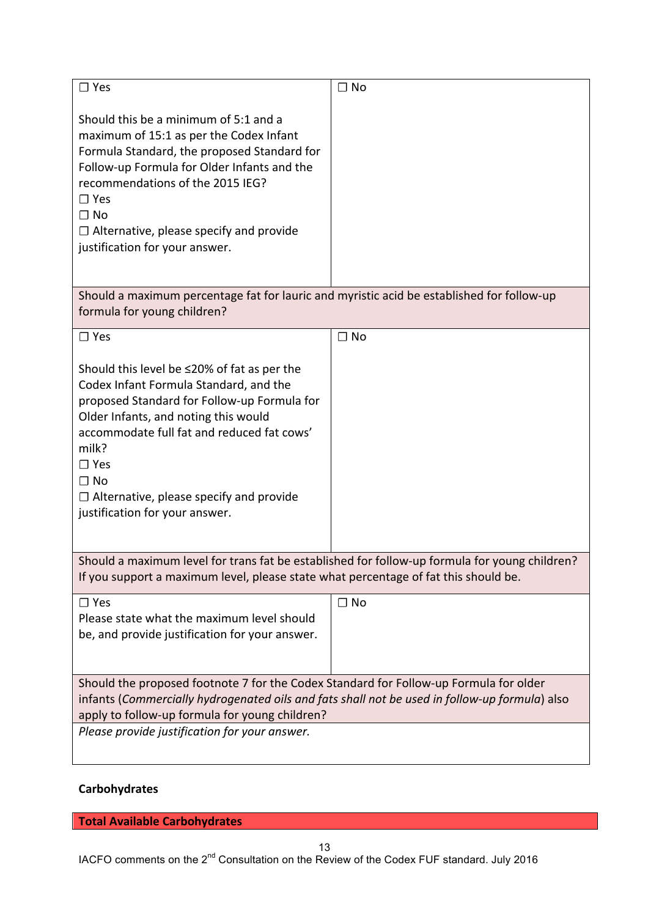| $\square$ Yes                                                                                                                                                                                                                                                                                                                                      | $\Box$ No |  |  |
|----------------------------------------------------------------------------------------------------------------------------------------------------------------------------------------------------------------------------------------------------------------------------------------------------------------------------------------------------|-----------|--|--|
| Should this be a minimum of 5:1 and a<br>maximum of 15:1 as per the Codex Infant<br>Formula Standard, the proposed Standard for<br>Follow-up Formula for Older Infants and the<br>recommendations of the 2015 IEG?<br>$\Box$ Yes<br>$\Box$ No<br>$\Box$ Alternative, please specify and provide<br>justification for your answer.                  |           |  |  |
| Should a maximum percentage fat for lauric and myristic acid be established for follow-up<br>formula for young children?                                                                                                                                                                                                                           |           |  |  |
| $\square$ Yes                                                                                                                                                                                                                                                                                                                                      | $\Box$ No |  |  |
| Should this level be ≤20% of fat as per the<br>Codex Infant Formula Standard, and the<br>proposed Standard for Follow-up Formula for<br>Older Infants, and noting this would<br>accommodate full fat and reduced fat cows'<br>milk?<br>$\Box$ Yes<br>$\Box$ No<br>$\Box$ Alternative, please specify and provide<br>justification for your answer. |           |  |  |
| Should a maximum level for trans fat be established for follow-up formula for young children?<br>If you support a maximum level, please state what percentage of fat this should be.                                                                                                                                                               |           |  |  |
| $\square$ Yes<br>Please state what the maximum level should<br>be, and provide justification for your answer.                                                                                                                                                                                                                                      | $\Box$ No |  |  |
| Should the proposed footnote 7 for the Codex Standard for Follow-up Formula for older                                                                                                                                                                                                                                                              |           |  |  |
| infants (Commercially hydrogenated oils and fats shall not be used in follow-up formula) also<br>apply to follow-up formula for young children?                                                                                                                                                                                                    |           |  |  |
| Please provide justification for your answer.                                                                                                                                                                                                                                                                                                      |           |  |  |

# **Carbohydrates**

**Total Available Carbohydrates**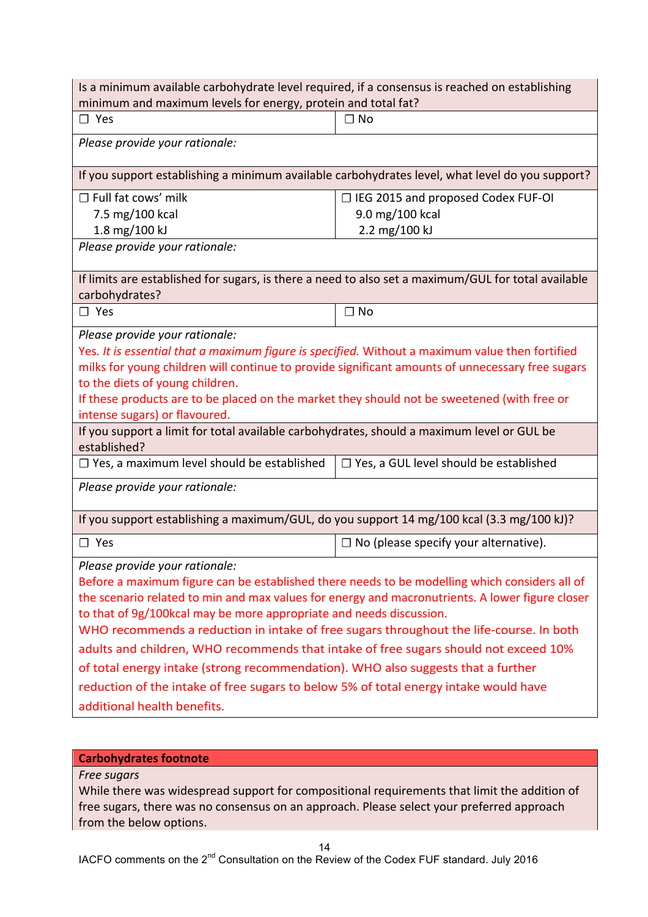| Is a minimum available carbohydrate level required, if a consensus is reached on establishing<br>minimum and maximum levels for energy, protein and total fat?                                                                                                                                                                                                                                                                                                                                                                                                                                                                                                                                          |                                                                                                 |  |  |  |
|---------------------------------------------------------------------------------------------------------------------------------------------------------------------------------------------------------------------------------------------------------------------------------------------------------------------------------------------------------------------------------------------------------------------------------------------------------------------------------------------------------------------------------------------------------------------------------------------------------------------------------------------------------------------------------------------------------|-------------------------------------------------------------------------------------------------|--|--|--|
| $\square$ Yes                                                                                                                                                                                                                                                                                                                                                                                                                                                                                                                                                                                                                                                                                           | $\Box$ No                                                                                       |  |  |  |
| Please provide your rationale:                                                                                                                                                                                                                                                                                                                                                                                                                                                                                                                                                                                                                                                                          |                                                                                                 |  |  |  |
|                                                                                                                                                                                                                                                                                                                                                                                                                                                                                                                                                                                                                                                                                                         | If you support establishing a minimum available carbohydrates level, what level do you support? |  |  |  |
| $\Box$ Full fat cows' milk                                                                                                                                                                                                                                                                                                                                                                                                                                                                                                                                                                                                                                                                              | □ IEG 2015 and proposed Codex FUF-OI                                                            |  |  |  |
| 7.5 mg/100 kcal                                                                                                                                                                                                                                                                                                                                                                                                                                                                                                                                                                                                                                                                                         | 9.0 mg/100 kcal                                                                                 |  |  |  |
| 1.8 mg/100 kJ<br>Please provide your rationale:                                                                                                                                                                                                                                                                                                                                                                                                                                                                                                                                                                                                                                                         | 2.2 mg/100 kJ                                                                                   |  |  |  |
|                                                                                                                                                                                                                                                                                                                                                                                                                                                                                                                                                                                                                                                                                                         |                                                                                                 |  |  |  |
| If limits are established for sugars, is there a need to also set a maximum/GUL for total available<br>carbohydrates?                                                                                                                                                                                                                                                                                                                                                                                                                                                                                                                                                                                   |                                                                                                 |  |  |  |
| $\square$ Yes                                                                                                                                                                                                                                                                                                                                                                                                                                                                                                                                                                                                                                                                                           | $\Box$ No                                                                                       |  |  |  |
| Please provide your rationale:<br>Yes. It is essential that a maximum figure is specified. Without a maximum value then fortified<br>milks for young children will continue to provide significant amounts of unnecessary free sugars<br>to the diets of young children.<br>If these products are to be placed on the market they should not be sweetened (with free or<br>intense sugars) or flavoured.                                                                                                                                                                                                                                                                                                |                                                                                                 |  |  |  |
| If you support a limit for total available carbohydrates, should a maximum level or GUL be<br>established?                                                                                                                                                                                                                                                                                                                                                                                                                                                                                                                                                                                              |                                                                                                 |  |  |  |
| $\Box$ Yes, a maximum level should be established                                                                                                                                                                                                                                                                                                                                                                                                                                                                                                                                                                                                                                                       | $\Box$ Yes, a GUL level should be established                                                   |  |  |  |
| Please provide your rationale:                                                                                                                                                                                                                                                                                                                                                                                                                                                                                                                                                                                                                                                                          |                                                                                                 |  |  |  |
| If you support establishing a maximum/GUL, do you support 14 mg/100 kcal (3.3 mg/100 kJ)?                                                                                                                                                                                                                                                                                                                                                                                                                                                                                                                                                                                                               |                                                                                                 |  |  |  |
| $\square$ Yes                                                                                                                                                                                                                                                                                                                                                                                                                                                                                                                                                                                                                                                                                           | $\Box$ No (please specify your alternative).                                                    |  |  |  |
| Please provide your rationale:<br>Before a maximum figure can be established there needs to be modelling which considers all of<br>the scenario related to min and max values for energy and macronutrients. A lower figure closer<br>to that of 9g/100kcal may be more appropriate and needs discussion.<br>WHO recommends a reduction in intake of free sugars throughout the life-course. In both<br>adults and children, WHO recommends that intake of free sugars should not exceed 10%<br>of total energy intake (strong recommendation). WHO also suggests that a further<br>reduction of the intake of free sugars to below 5% of total energy intake would have<br>additional health benefits. |                                                                                                 |  |  |  |

# **Carbohydrates footnote**

#### *Free sugars*

While there was widespread support for compositional requirements that limit the addition of free sugars, there was no consensus on an approach. Please select your preferred approach from the below options.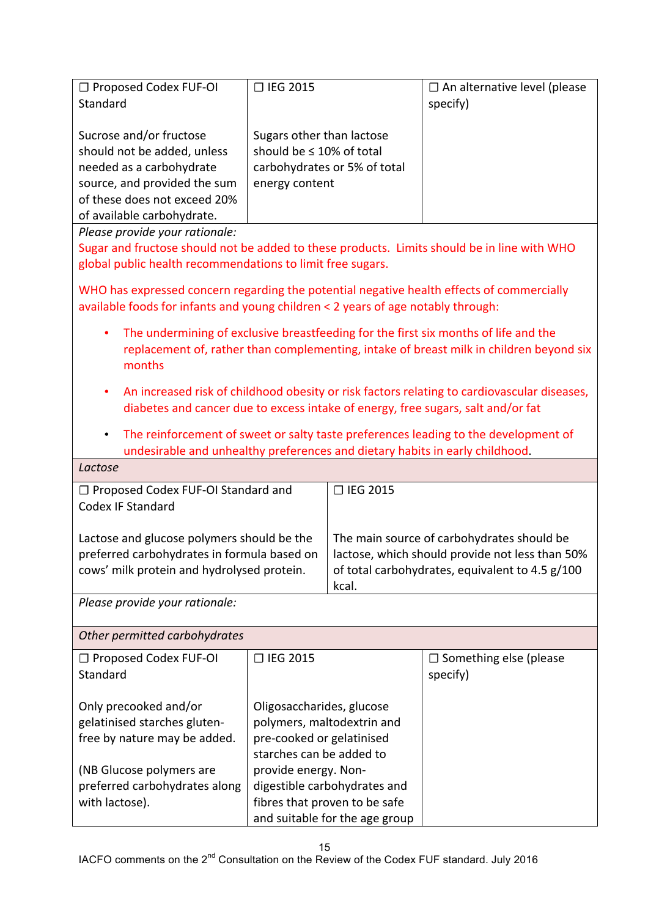| $\Box$ Proposed Codex FUF-OI<br>Standard                                                                                                                                         | □ IEG 2015                                                                                                    | $\Box$ An alternative level (please<br>specify) |  |
|----------------------------------------------------------------------------------------------------------------------------------------------------------------------------------|---------------------------------------------------------------------------------------------------------------|-------------------------------------------------|--|
| Sucrose and/or fructose<br>should not be added, unless<br>needed as a carbohydrate<br>source, and provided the sum<br>of these does not exceed 20%<br>of available carbohydrate. | Sugars other than lactose<br>should be $\leq 10\%$ of total<br>carbohydrates or 5% of total<br>energy content |                                                 |  |
| Please provide your rationale:                                                                                                                                                   |                                                                                                               |                                                 |  |
| Sugar and fructose should not be added to these products. Limits should be in line with WHO                                                                                      |                                                                                                               |                                                 |  |

global public health recommendations to limit free sugars.

WHO has expressed concern regarding the potential negative health effects of commercially available foods for infants and young children  $<$  2 years of age notably through:

- The undermining of exclusive breastfeeding for the first six months of life and the replacement of, rather than complementing, intake of breast milk in children beyond six months
- An increased risk of childhood obesity or risk factors relating to cardiovascular diseases, diabetes and cancer due to excess intake of energy, free sugars, salt and/or fat
- The reinforcement of sweet or salty taste preferences leading to the development of undesirable and unhealthy preferences and dietary habits in early childhood.

| Lactose                                                                                                                                 |                                                                                                                                                           |
|-----------------------------------------------------------------------------------------------------------------------------------------|-----------------------------------------------------------------------------------------------------------------------------------------------------------|
| □ Proposed Codex FUF-OI Standard and<br>Codex IF Standard                                                                               | $\Box$ IEG 2015                                                                                                                                           |
| Lactose and glucose polymers should be the<br>preferred carbohydrates in formula based on<br>cows' milk protein and hydrolysed protein. | The main source of carbohydrates should be<br>lactose, which should provide not less than 50%<br>of total carbohydrates, equivalent to 4.5 g/100<br>kcal. |
| Please provide your rationale:                                                                                                          |                                                                                                                                                           |

*Other permitted carbohydrates*

| $\Box$ Proposed Codex FUF-OI  | □ IEG 2015                     | $\Box$ Something else (please |
|-------------------------------|--------------------------------|-------------------------------|
| Standard                      |                                | specify)                      |
|                               |                                |                               |
| Only precooked and/or         | Oligosaccharides, glucose      |                               |
| gelatinised starches gluten-  | polymers, maltodextrin and     |                               |
| free by nature may be added.  | pre-cooked or gelatinised      |                               |
|                               | starches can be added to       |                               |
| (NB Glucose polymers are      | provide energy. Non-           |                               |
| preferred carbohydrates along | digestible carbohydrates and   |                               |
| with lactose).                | fibres that proven to be safe  |                               |
|                               | and suitable for the age group |                               |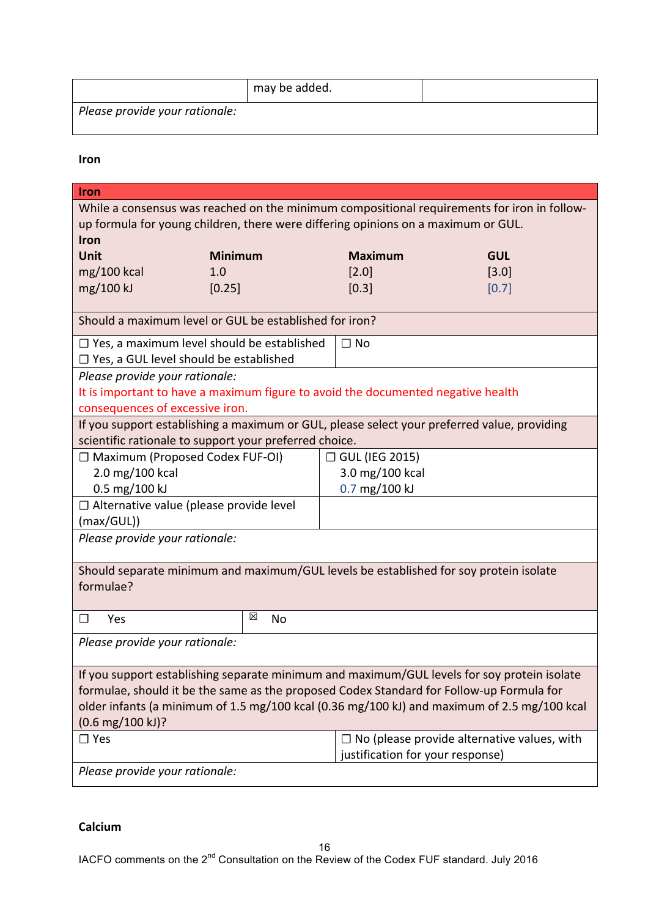|                                | may be added. |  |
|--------------------------------|---------------|--|
| Please provide your rationale: |               |  |

**Iron**

| Iron                                                                                        |         |                                  |                                                    |
|---------------------------------------------------------------------------------------------|---------|----------------------------------|----------------------------------------------------|
| While a consensus was reached on the minimum compositional requirements for iron in follow- |         |                                  |                                                    |
| up formula for young children, there were differing opinions on a maximum or GUL.           |         |                                  |                                                    |
| Iron                                                                                        |         |                                  |                                                    |
| Unit<br><b>Minimum</b>                                                                      |         | <b>Maximum</b>                   | <b>GUL</b>                                         |
| $mg/100$ kcal<br>1.0                                                                        |         | [2.0]                            | [3.0]                                              |
| mg/100 kJ<br>[0.25]                                                                         |         | [0.3]                            | [0.7]                                              |
|                                                                                             |         |                                  |                                                    |
| Should a maximum level or GUL be established for iron?                                      |         |                                  |                                                    |
| $\Box$ Yes, a maximum level should be established                                           |         | $\Box$ No                        |                                                    |
| □ Yes, a GUL level should be established                                                    |         |                                  |                                                    |
| Please provide your rationale:                                                              |         |                                  |                                                    |
| It is important to have a maximum figure to avoid the documented negative health            |         |                                  |                                                    |
| consequences of excessive iron.                                                             |         |                                  |                                                    |
| If you support establishing a maximum or GUL, please select your preferred value, providing |         |                                  |                                                    |
| scientific rationale to support your preferred choice.                                      |         |                                  |                                                    |
| □ Maximum (Proposed Codex FUF-OI)                                                           |         | □ GUL (IEG 2015)                 |                                                    |
| 2.0 mg/100 kcal                                                                             |         | 3.0 mg/100 kcal                  |                                                    |
| 0.5 mg/100 kJ                                                                               |         | 0.7 mg/100 kJ                    |                                                    |
| $\Box$ Alternative value (please provide level                                              |         |                                  |                                                    |
| (max/GUL))                                                                                  |         |                                  |                                                    |
| Please provide your rationale:                                                              |         |                                  |                                                    |
|                                                                                             |         |                                  |                                                    |
| Should separate minimum and maximum/GUL levels be established for soy protein isolate       |         |                                  |                                                    |
| formulae?                                                                                   |         |                                  |                                                    |
|                                                                                             |         |                                  |                                                    |
| $\Box$<br>Yes                                                                               | ⊠<br>No |                                  |                                                    |
| Please provide your rationale:                                                              |         |                                  |                                                    |
|                                                                                             |         |                                  |                                                    |
| If you support establishing separate minimum and maximum/GUL levels for soy protein isolate |         |                                  |                                                    |
| formulae, should it be the same as the proposed Codex Standard for Follow-up Formula for    |         |                                  |                                                    |
| older infants (a minimum of 1.5 mg/100 kcal (0.36 mg/100 kJ) and maximum of 2.5 mg/100 kcal |         |                                  |                                                    |
| $(0.6 \text{ mg}/100 \text{ kJ})$ ?                                                         |         |                                  |                                                    |
| $\square$ Yes                                                                               |         |                                  | $\Box$ No (please provide alternative values, with |
|                                                                                             |         | justification for your response) |                                                    |
| Please provide your rationale:                                                              |         |                                  |                                                    |

**Calcium**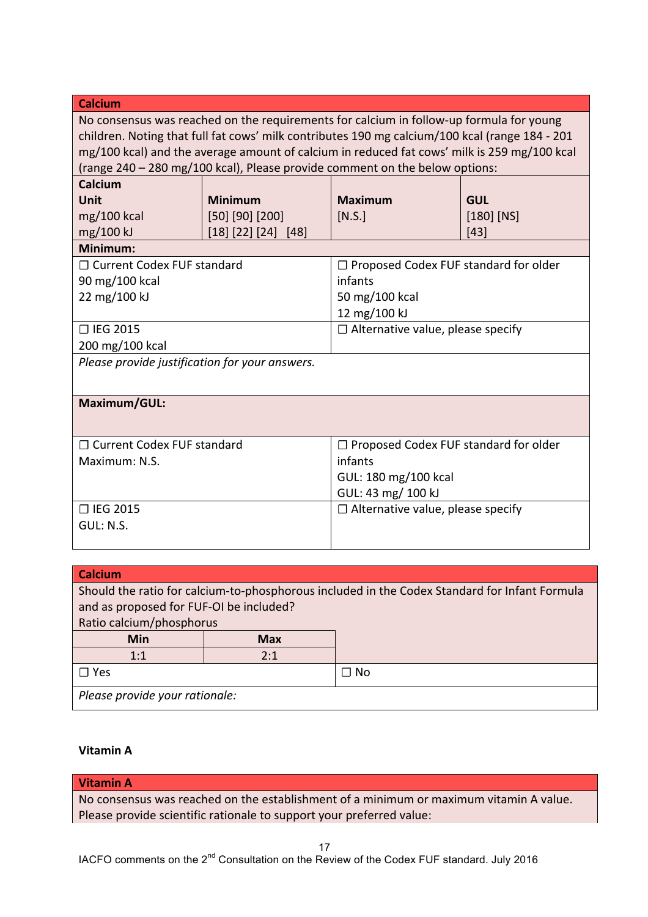| <b>Calcium</b>                                                                                                                                                                                                                                                                                                                                                          |                       |                                          |              |
|-------------------------------------------------------------------------------------------------------------------------------------------------------------------------------------------------------------------------------------------------------------------------------------------------------------------------------------------------------------------------|-----------------------|------------------------------------------|--------------|
| No consensus was reached on the requirements for calcium in follow-up formula for young<br>children. Noting that full fat cows' milk contributes 190 mg calcium/100 kcal (range 184 - 201<br>mg/100 kcal) and the average amount of calcium in reduced fat cows' milk is 259 mg/100 kcal<br>(range 240 - 280 mg/100 kcal), Please provide comment on the below options: |                       |                                          |              |
| Calcium                                                                                                                                                                                                                                                                                                                                                                 |                       |                                          |              |
| Unit                                                                                                                                                                                                                                                                                                                                                                    | <b>Minimum</b>        | <b>Maximum</b>                           | <b>GUL</b>   |
| $mg/100$ kcal                                                                                                                                                                                                                                                                                                                                                           | $[50]$ $[90]$ $[200]$ | [N.S.]                                   | $[180]$ [NS] |
| mg/100 kJ                                                                                                                                                                                                                                                                                                                                                               | [18] [22] [24] [48]   |                                          | [43]         |
| Minimum:                                                                                                                                                                                                                                                                                                                                                                |                       |                                          |              |
| □ Current Codex FUF standard                                                                                                                                                                                                                                                                                                                                            |                       | □ Proposed Codex FUF standard for older  |              |
| 90 mg/100 kcal                                                                                                                                                                                                                                                                                                                                                          |                       | infants                                  |              |
| 22 mg/100 kJ                                                                                                                                                                                                                                                                                                                                                            |                       | 50 mg/100 kcal                           |              |
|                                                                                                                                                                                                                                                                                                                                                                         |                       | 12 mg/100 kJ                             |              |
| □ IEG 2015                                                                                                                                                                                                                                                                                                                                                              |                       | $\Box$ Alternative value, please specify |              |
| 200 mg/100 kcal                                                                                                                                                                                                                                                                                                                                                         |                       |                                          |              |
| Please provide justification for your answers.                                                                                                                                                                                                                                                                                                                          |                       |                                          |              |
| Maximum/GUL:                                                                                                                                                                                                                                                                                                                                                            |                       |                                          |              |
| □ Current Codex FUF standard                                                                                                                                                                                                                                                                                                                                            |                       | □ Proposed Codex FUF standard for older  |              |
| Maximum: N.S.                                                                                                                                                                                                                                                                                                                                                           |                       | infants                                  |              |
|                                                                                                                                                                                                                                                                                                                                                                         |                       | GUL: 180 mg/100 kcal                     |              |
|                                                                                                                                                                                                                                                                                                                                                                         |                       | GUL: 43 mg/ 100 kJ                       |              |
| □ IEG 2015                                                                                                                                                                                                                                                                                                                                                              |                       | $\Box$ Alternative value, please specify |              |
| GUL: N.S.                                                                                                                                                                                                                                                                                                                                                               |                       |                                          |              |
|                                                                                                                                                                                                                                                                                                                                                                         |                       |                                          |              |
|                                                                                                                                                                                                                                                                                                                                                                         |                       |                                          |              |
| C <sub>0</sub>                                                                                                                                                                                                                                                                                                                                                          |                       |                                          |              |

| <b>Calcium</b>                          |            |                                                                                               |  |
|-----------------------------------------|------------|-----------------------------------------------------------------------------------------------|--|
|                                         |            | Should the ratio for calcium-to-phosphorous included in the Codex Standard for Infant Formula |  |
| and as proposed for FUF-OI be included? |            |                                                                                               |  |
| Ratio calcium/phosphorus                |            |                                                                                               |  |
| <b>Min</b>                              | <b>Max</b> |                                                                                               |  |
| 2:1<br>1:1                              |            |                                                                                               |  |
| ∃ Yes<br>⊐ No                           |            |                                                                                               |  |
| Please provide your rationale:          |            |                                                                                               |  |
|                                         |            |                                                                                               |  |

## **Vitamin A**

# **Vitamin A**

No consensus was reached on the establishment of a minimum or maximum vitamin A value. Please provide scientific rationale to support your preferred value: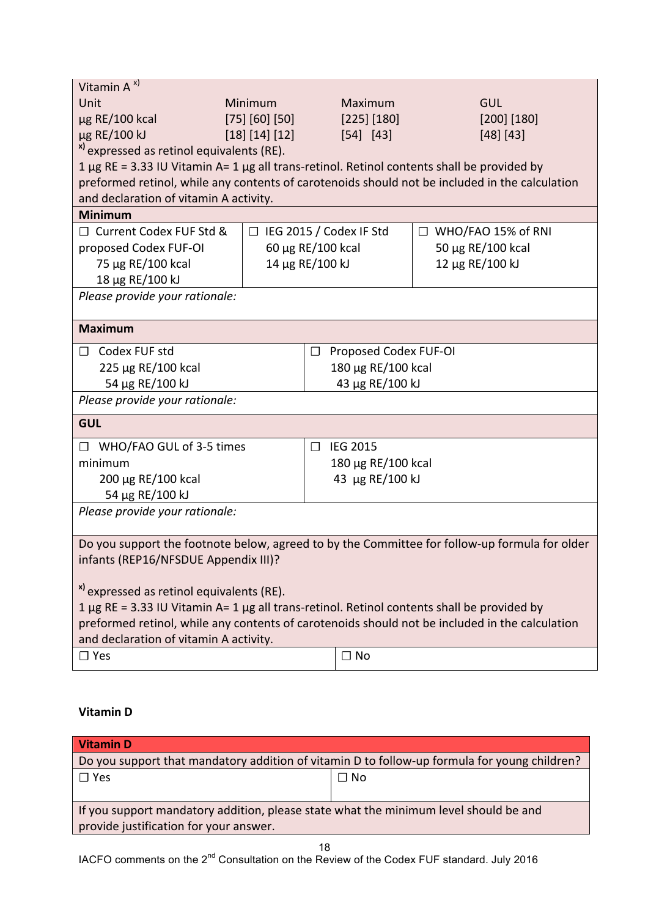| Vitamin $A^{x}$                                                                                |                |                                 |                                                                                                |
|------------------------------------------------------------------------------------------------|----------------|---------------------------------|------------------------------------------------------------------------------------------------|
| Unit                                                                                           | Minimum        | Maximum                         | <b>GUL</b>                                                                                     |
| µg RE/100 kcal                                                                                 | [75] [60] [50] | [225] [180]                     | [200] [180]                                                                                    |
| µg RE/100 kJ                                                                                   | [18] [14] [12] | [54] [43]                       | [48] [43]                                                                                      |
| <sup>x)</sup> expressed as retinol equivalents (RE).                                           |                |                                 |                                                                                                |
| 1 µg RE = 3.33 IU Vitamin A= 1 µg all trans-retinol. Retinol contents shall be provided by     |                |                                 |                                                                                                |
|                                                                                                |                |                                 | preformed retinol, while any contents of carotenoids should not be included in the calculation |
| and declaration of vitamin A activity.                                                         |                |                                 |                                                                                                |
| <b>Minimum</b>                                                                                 |                |                                 |                                                                                                |
| □ Current Codex FUF Std &                                                                      |                | $\Box$ IEG 2015 / Codex IF Std  | $\Box$ WHO/FAO 15% of RNI                                                                      |
| proposed Codex FUF-OI                                                                          |                | 60 μg RE/100 kcal               | 50 μg RE/100 kcal                                                                              |
| 75 µg RE/100 kcal                                                                              |                | 14 µg RE/100 kJ                 | 12 µg RE/100 kJ                                                                                |
| 18 µg RE/100 kJ                                                                                |                |                                 |                                                                                                |
| Please provide your rationale:                                                                 |                |                                 |                                                                                                |
| <b>Maximum</b>                                                                                 |                |                                 |                                                                                                |
| $\Box$ Codex FUF std                                                                           |                | Proposed Codex FUF-OI<br>$\Box$ |                                                                                                |
| 225 µg RE/100 kcal                                                                             |                | 180 µg RE/100 kcal              |                                                                                                |
| 54 µg RE/100 kJ                                                                                |                | 43 µg RE/100 kJ                 |                                                                                                |
| Please provide your rationale:                                                                 |                |                                 |                                                                                                |
| <b>GUL</b>                                                                                     |                |                                 |                                                                                                |
| □ WHO/FAO GUL of 3-5 times                                                                     |                | <b>IEG 2015</b><br>$\Box$       |                                                                                                |
| minimum                                                                                        |                | 180 μg RE/100 kcal              |                                                                                                |
| 200 μg RE/100 kcal                                                                             |                | 43 µg RE/100 kJ                 |                                                                                                |
| 54 µg RE/100 kJ                                                                                |                |                                 |                                                                                                |
| Please provide your rationale:                                                                 |                |                                 |                                                                                                |
| Do you support the footnote below, agreed to by the Committee for follow-up formula for older  |                |                                 |                                                                                                |
| infants (REP16/NFSDUE Appendix III)?                                                           |                |                                 |                                                                                                |
|                                                                                                |                |                                 |                                                                                                |
| <sup>x)</sup> expressed as retinol equivalents (RE).                                           |                |                                 |                                                                                                |
| 1 µg RE = 3.33 IU Vitamin A= 1 µg all trans-retinol. Retinol contents shall be provided by     |                |                                 |                                                                                                |
| preformed retinol, while any contents of carotenoids should not be included in the calculation |                |                                 |                                                                                                |
| and declaration of vitamin A activity.                                                         |                |                                 |                                                                                                |
| $\Box$ Yes                                                                                     |                | $\Box$ No                       |                                                                                                |

# **Vitamin D**

| <b>Vitamin D</b>                                                                                                               |           |
|--------------------------------------------------------------------------------------------------------------------------------|-----------|
| Do you support that mandatory addition of vitamin D to follow-up formula for young children?                                   |           |
| $\Box$ Yes                                                                                                                     | $\Box$ No |
| If you support mandatory addition, please state what the minimum level should be and<br>provide justification for your answer. |           |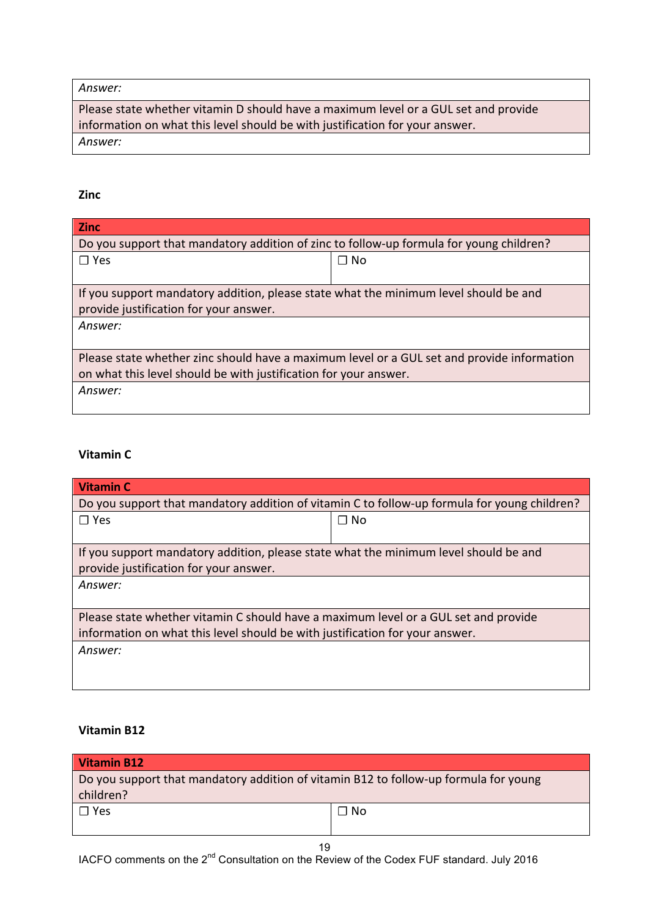#### *Answer:*

Please state whether vitamin D should have a maximum level or a GUL set and provide information on what this level should be with justification for your answer. *Answer:*

#### **Zinc**

| <b>Zinc</b>                                                                                |           |  |
|--------------------------------------------------------------------------------------------|-----------|--|
| Do you support that mandatory addition of zinc to follow-up formula for young children?    |           |  |
| $\square$ Yes                                                                              | $\Box$ No |  |
|                                                                                            |           |  |
| If you support mandatory addition, please state what the minimum level should be and       |           |  |
| provide justification for your answer.                                                     |           |  |
| Answer:                                                                                    |           |  |
|                                                                                            |           |  |
| Please state whether zinc should have a maximum level or a GUL set and provide information |           |  |
| on what this level should be with justification for your answer.                           |           |  |
| Answer:                                                                                    |           |  |
|                                                                                            |           |  |

### **Vitamin C**

| <b>Vitamin C</b>                                                                             |           |
|----------------------------------------------------------------------------------------------|-----------|
| Do you support that mandatory addition of vitamin C to follow-up formula for young children? |           |
| $\Box$ Yes                                                                                   | $\Box$ No |
|                                                                                              |           |
| If you support mandatory addition, please state what the minimum level should be and         |           |
| provide justification for your answer.                                                       |           |
| Answer:                                                                                      |           |
|                                                                                              |           |
| Please state whether vitamin C should have a maximum level or a GUL set and provide          |           |
| information on what this level should be with justification for your answer.                 |           |
| Answer:                                                                                      |           |
|                                                                                              |           |

#### **Vitamin B12**

| Vitamin B12                                                                                       |           |
|---------------------------------------------------------------------------------------------------|-----------|
| Do you support that mandatory addition of vitamin B12 to follow-up formula for young<br>children? |           |
| $\Box$ Yes                                                                                        | $\Box$ No |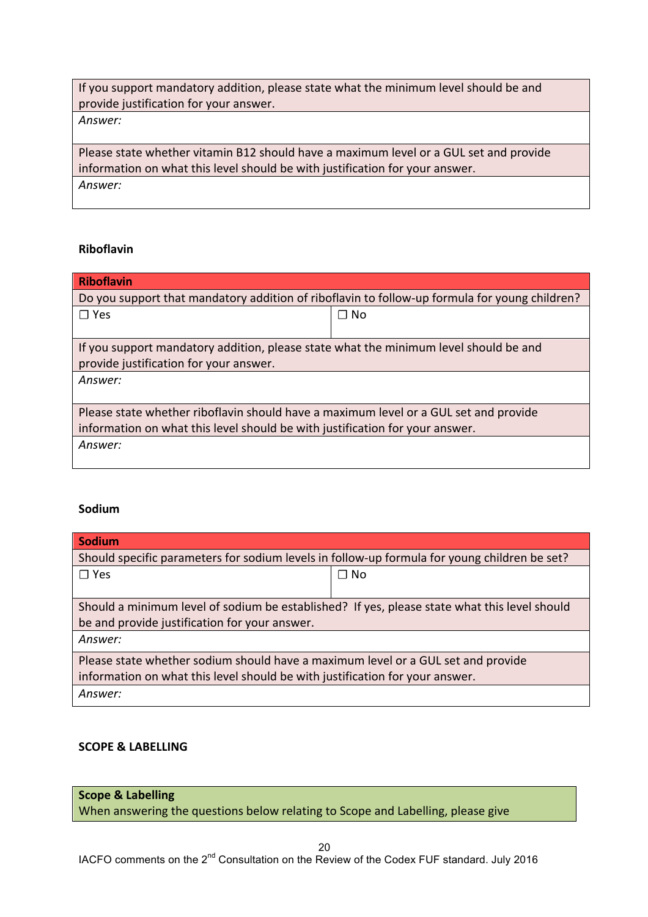| If you support mandatory addition, please state what the minimum level should be and  |
|---------------------------------------------------------------------------------------|
| provide justification for your answer.                                                |
| Answer:                                                                               |
|                                                                                       |
| Please state whether vitamin B12 should have a maximum level or a GUL set and provide |
| information on what this level should be with justification for your answer.          |
| Answer:                                                                               |
|                                                                                       |

### **Riboflavin**

| <b>Riboflavin</b>                                                                             |           |  |
|-----------------------------------------------------------------------------------------------|-----------|--|
| Do you support that mandatory addition of riboflavin to follow-up formula for young children? |           |  |
| $\Box$ Yes                                                                                    | $\Box$ No |  |
|                                                                                               |           |  |
| If you support mandatory addition, please state what the minimum level should be and          |           |  |
| provide justification for your answer.                                                        |           |  |
| Answer:                                                                                       |           |  |
|                                                                                               |           |  |
| Please state whether riboflavin should have a maximum level or a GUL set and provide          |           |  |
| information on what this level should be with justification for your answer.                  |           |  |
| Answer:                                                                                       |           |  |
|                                                                                               |           |  |

#### **Sodium**

| <b>Sodium</b>                                                                                |           |  |
|----------------------------------------------------------------------------------------------|-----------|--|
| Should specific parameters for sodium levels in follow-up formula for young children be set? |           |  |
| $\Box$ Yes                                                                                   | $\Box$ No |  |
|                                                                                              |           |  |
| Should a minimum level of sodium be established? If yes, please state what this level should |           |  |
| be and provide justification for your answer.                                                |           |  |
| Answer:                                                                                      |           |  |
| Please state whether sodium should have a maximum level or a GUL set and provide             |           |  |
| information on what this level should be with justification for your answer.                 |           |  |
| Answer:                                                                                      |           |  |

### **SCOPE & LABELLING**

**Scope & Labelling** When answering the questions below relating to Scope and Labelling, please give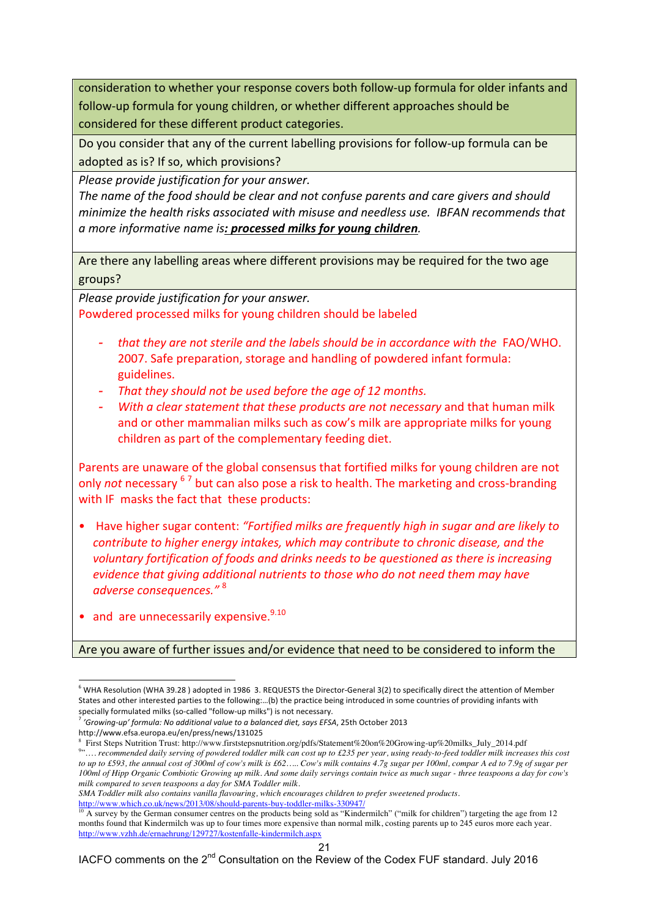consideration to whether your response covers both follow-up formula for older infants and follow-up formula for young children, or whether different approaches should be considered for these different product categories.

Do you consider that any of the current labelling provisions for follow-up formula can be adopted as is? If so, which provisions?

*Please provide justification for your answer.* 

The name of the food should be clear and not confuse parents and care givers and should *minimize the health risks associated with misuse and needless use. IBFAN recommends that a* more informative name is: **processed milks for young children**.

Are there any labelling areas where different provisions may be required for the two age groups? 

*Please provide justification for your answer.* Powdered processed milks for young children should be labeled

- *that they are not sterile and the labels should be in accordance with the FAO/WHO.* 2007. Safe preparation, storage and handling of powdered infant formula: guidelines.
- *That they should not be used before the age of 12 months.*
- *With* a clear statement that these products are not necessary and that human milk and or other mammalian milks such as cow's milk are appropriate milks for young children as part of the complementary feeding diet.

Parents are unaware of the global consensus that fortified milks for young children are not only *not* necessary <sup>6</sup> <sup>7</sup> but can also pose a risk to health. The marketing and cross-branding with IF masks the fact that these products:

- Have higher sugar content: *"Fortified milks are frequently high in sugar and are likely to contribute to higher energy intakes, which may contribute to chronic disease, and the voluntary fortification of foods and drinks needs to be questioned as there is increasing evidence that giving additional nutrients to those who do not need them may have adverse consequences."* <sup>8</sup>
- and are unnecessarily expensive.  $9.10$

Are you aware of further issues and/or evidence that need to be considered to inform the

http://www.efsa.europa.eu/en/press/news/131025

l

*SMA Toddler milk also contains vanilla flavouring, which encourages children to prefer sweetened products.*

http://www.which.co.uk/news/2013/08/should-parents-buy-toddler-milks-330947/

 $6$  WHA Resolution (WHA 39.28) adopted in 1986 3. REQUESTS the Director-General 3(2) to specifically direct the attention of Member States and other interested parties to the following:…(b) the practice being introduced in some countries of providing infants with specially formulated milks (so-called "follow-up milks") is not necessary.

<sup>7</sup> *'Growing-up' formula: No additional value to a balanced diet, says EFSA*, 25th October 2013

<sup>8</sup> First Steps Nutrition Trust: http://www.firststepsnutrition.org/pdfs/Statement%20on%20Growing-up%20milks\_July\_2014.pdf " .... recommended daily serving of powdered toddler milk can cost up to £235 per year, using ready-to-feed toddler milk increases this cost to up to £593, the annual cost of 300ml of cow's milk is £62..... Cow's milk contains 4.7g sugar per 100ml, compar A ed to 7.9g of sugar per 100ml of Hipp Organic Combiotic Growing up milk. And some daily servings contain twice as much sugar - three teaspoons a day for cow's *milk compared to seven teaspoons a day for SMA Toddler milk.*

<sup>10</sup> A survey by the German consumer centres on the products being sold as "Kindermilch" ("milk for children") targeting the age from 12 months found that Kindermilch was up to four times more expensive than normal milk, costing parents up to 245 euros more each year. http://www.vzhh.de/ernaehrung/129727/kostenfalle-kindermilch.aspx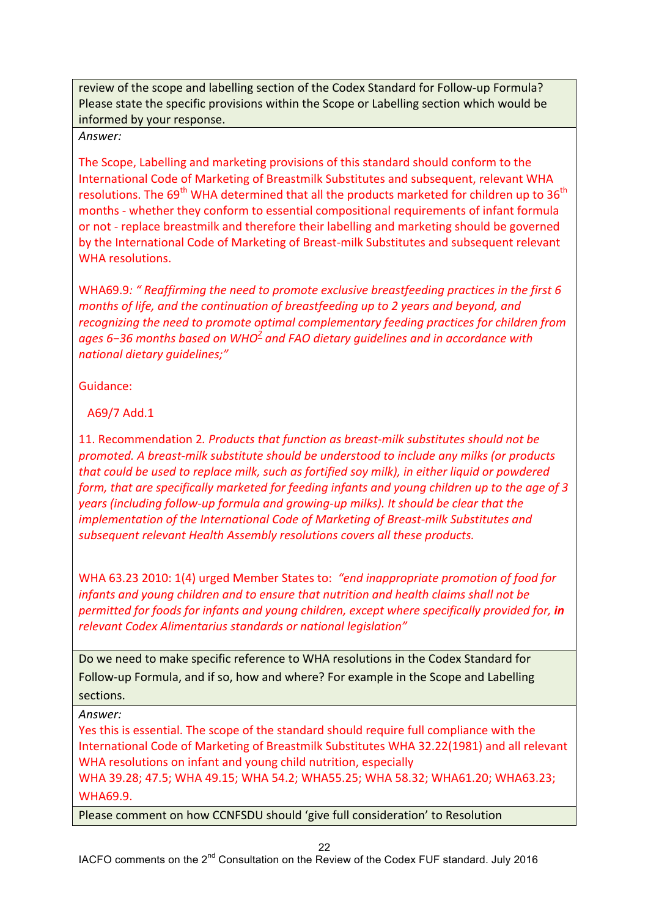review of the scope and labelling section of the Codex Standard for Follow-up Formula? Please state the specific provisions within the Scope or Labelling section which would be informed by your response.

*Answer:*

The Scope, Labelling and marketing provisions of this standard should conform to the International Code of Marketing of Breastmilk Substitutes and subsequent, relevant WHA resolutions. The  $69<sup>th</sup>$  WHA determined that all the products marketed for children up to  $36<sup>th</sup>$ months - whether they conform to essential compositional requirements of infant formula or not - replace breastmilk and therefore their labelling and marketing should be governed by the International Code of Marketing of Breast-milk Substitutes and subsequent relevant WHA resolutions.

WHA69.9: " Reaffirming the need to promote exclusive breastfeeding practices in the first 6 *months of life, and the continuation of breastfeeding up to 2 years and beyond, and recognizing the need to promote optimal complementary feeding practices for children from* ages 6-36 months based on WHO<sup>2</sup> and FAO dietary guidelines and in accordance with *national dietary guidelines;"* 

Guidance: 

A69/7 Add.1 

11. Recommendation 2. Products that function as breast-milk substitutes should not be *promoted.* A breast-milk substitute should be understood to include any milks (or products *that could be used to replace milk, such as fortified soy milk), in either liquid or powdered form, that are specifically marketed for feeding infants and young children up to the age of 3 years* (including follow-up formula and growing-up milks). It should be clear that the *implementation of the International Code of Marketing of Breast-milk Substitutes and* subsequent relevant Health Assembly resolutions covers all these products.

WHA 63.23 2010: 1(4) urged Member States to: "end inappropriate promotion of food for *infants and young children and to ensure that nutrition and health claims shall not be permitted for foods for infants and young children, except where specifically provided for, in relevant Codex Alimentarius standards or national legislation"*

Do we need to make specific reference to WHA resolutions in the Codex Standard for Follow-up Formula, and if so, how and where? For example in the Scope and Labelling sections.

*Answer:*

Yes this is essential. The scope of the standard should require full compliance with the International Code of Marketing of Breastmilk Substitutes WHA 32.22(1981) and all relevant WHA resolutions on infant and young child nutrition, especially WHA 39.28; 47.5; WHA 49.15; WHA 54.2; WHA55.25; WHA 58.32; WHA61.20; WHA63.23;

WHA69.9.

Please comment on how CCNFSDU should 'give full consideration' to Resolution